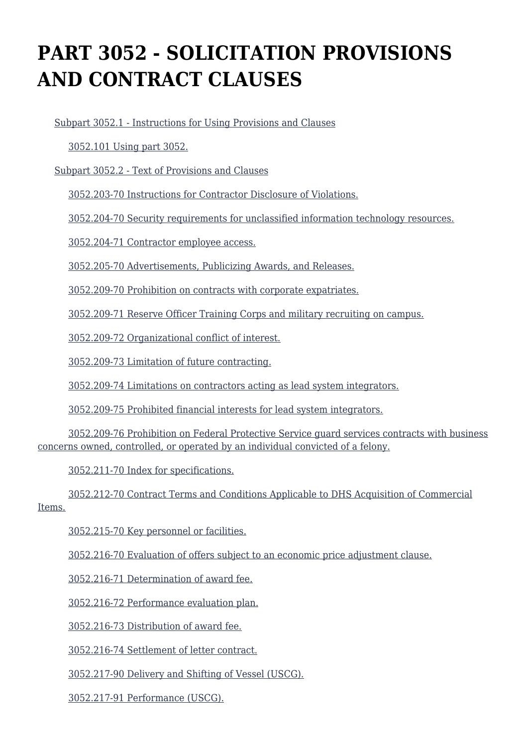# **PART 3052 - SOLICITATION PROVISIONS AND CONTRACT CLAUSES**

[Subpart 3052.1 - Instructions for Using Provisions and Clauses](https://origin-www.acquisition.gov/%5Brp:link:hsar-part-3052%5D#Subpart_3052_1_T48_70215511)

[3052.101 Using part 3052.](https://origin-www.acquisition.gov/%5Brp:link:hsar-part-3052%5D#Section_3052_101_T48_7021551111)

[Subpart 3052.2 - Text of Provisions and Clauses](https://origin-www.acquisition.gov/%5Brp:link:hsar-part-3052%5D#Subpart_3052_2_T48_70215512)

[3052.203-70 Instructions for Contractor Disclosure of Violations.](https://origin-www.acquisition.gov/%5Brp:link:hsar-part-3052%5D#Section_3052_203_70_T48_7021551211)

[3052.204-70 Security requirements for unclassified information technology resources.](https://origin-www.acquisition.gov/%5Brp:link:hsar-part-3052%5D#Section_3052_204_70_T48_7021551212)

[3052.204-71 Contractor employee access.](https://origin-www.acquisition.gov/%5Brp:link:hsar-part-3052%5D#Section_3052_204_71_T48_7021551213)

[3052.205-70 Advertisements, Publicizing Awards, and Releases.](https://origin-www.acquisition.gov/%5Brp:link:hsar-part-3052%5D#Section_3052_205_70_T48_7021551214)

[3052.209-70 Prohibition on contracts with corporate expatriates.](https://origin-www.acquisition.gov/%5Brp:link:hsar-part-3052%5D#Section_3052_209_70_T48_7021551215)

[3052.209-71 Reserve Officer Training Corps and military recruiting on campus.](https://origin-www.acquisition.gov/%5Brp:link:hsar-part-3052%5D#Section_3052_209_71_T48_7021551216)

[3052.209-72 Organizational conflict of interest.](https://origin-www.acquisition.gov/%5Brp:link:hsar-part-3052%5D#Section_3052_209_72_T48_7021551217)

[3052.209-73 Limitation of future contracting.](https://origin-www.acquisition.gov/%5Brp:link:hsar-part-3052%5D#Section_3052_209_73_T48_7021551218)

[3052.209-74 Limitations on contractors acting as lead system integrators.](https://origin-www.acquisition.gov/%5Brp:link:hsar-part-3052%5D#Section_3052_209_74_T48_7021551219)

[3052.209-75 Prohibited financial interests for lead system integrators.](https://origin-www.acquisition.gov/%5Brp:link:hsar-part-3052%5D#Section_3052_209_75_T48_70215512110)

 [3052.209-76 Prohibition on Federal Protective Service guard services contracts with business](https://origin-www.acquisition.gov/%5Brp:link:hsar-part-3052%5D#Section_3052_209_76_T48_70215512111) [concerns owned, controlled, or operated by an individual convicted of a felony.](https://origin-www.acquisition.gov/%5Brp:link:hsar-part-3052%5D#Section_3052_209_76_T48_70215512111)

[3052.211-70 Index for specifications.](https://origin-www.acquisition.gov/%5Brp:link:hsar-part-3052%5D#Section_3052_211_70_T48_70215512112)

 [3052.212-70 Contract Terms and Conditions Applicable to DHS Acquisition of Commercial](https://origin-www.acquisition.gov/%5Brp:link:hsar-part-3052%5D#Section_3052_212_70_T48_70215512113) [Items.](https://origin-www.acquisition.gov/%5Brp:link:hsar-part-3052%5D#Section_3052_212_70_T48_70215512113)

[3052.215-70 Key personnel or facilities.](https://origin-www.acquisition.gov/%5Brp:link:hsar-part-3052%5D#Section_3052_215_70_T48_70215512114)

[3052.216-70 Evaluation of offers subject to an economic price adjustment clause.](https://origin-www.acquisition.gov/%5Brp:link:hsar-part-3052%5D#Section_3052_216_70_T48_70215512115)

[3052.216-71 Determination of award fee.](https://origin-www.acquisition.gov/%5Brp:link:hsar-part-3052%5D#Section_3052_216_71_T48_70215512116)

[3052.216-72 Performance evaluation plan.](https://origin-www.acquisition.gov/%5Brp:link:hsar-part-3052%5D#Section_3052_216_72_T48_70215512117)

[3052.216-73 Distribution of award fee.](https://origin-www.acquisition.gov/%5Brp:link:hsar-part-3052%5D#Section_3052_216_73_T48_70215512118)

[3052.216-74 Settlement of letter contract.](https://origin-www.acquisition.gov/%5Brp:link:hsar-part-3052%5D#Section_3052_216_74_T48_70215512119)

[3052.217-90 Delivery and Shifting of Vessel \(USCG\).](https://origin-www.acquisition.gov/%5Brp:link:hsar-part-3052%5D#Section_3052_217_90_T48_70215512120)

[3052.217-91 Performance \(USCG\).](https://origin-www.acquisition.gov/%5Brp:link:hsar-part-3052%5D#Section_3052_217_91_T48_70215512121)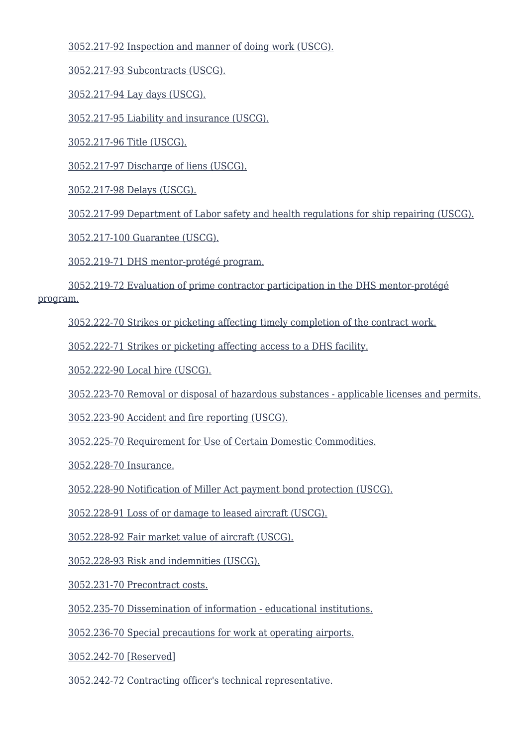[3052.217-92 Inspection and manner of doing work \(USCG\).](https://origin-www.acquisition.gov/%5Brp:link:hsar-part-3052%5D#Section_3052_217_92_T48_70215512122)

[3052.217-93 Subcontracts \(USCG\).](https://origin-www.acquisition.gov/%5Brp:link:hsar-part-3052%5D#Section_3052_217_93_T48_70215512123)

[3052.217-94 Lay days \(USCG\).](https://origin-www.acquisition.gov/%5Brp:link:hsar-part-3052%5D#Section_3052_217_94_T48_70215512124)

[3052.217-95 Liability and insurance \(USCG\).](https://origin-www.acquisition.gov/%5Brp:link:hsar-part-3052%5D#Section_3052_217_95_T48_70215512125)

[3052.217-96 Title \(USCG\).](https://origin-www.acquisition.gov/%5Brp:link:hsar-part-3052%5D#Section_3052_217_96_T48_70215512126)

[3052.217-97 Discharge of liens \(USCG\).](https://origin-www.acquisition.gov/%5Brp:link:hsar-part-3052%5D#Section_3052_217_97_T48_70215512127)

[3052.217-98 Delays \(USCG\).](https://origin-www.acquisition.gov/%5Brp:link:hsar-part-3052%5D#Section_3052_217_98_T48_70215512128)

[3052.217-99 Department of Labor safety and health regulations for ship repairing \(USCG\).](https://origin-www.acquisition.gov/%5Brp:link:hsar-part-3052%5D#Section_3052_217_99_T48_70215512129)

[3052.217-100 Guarantee \(USCG\).](https://origin-www.acquisition.gov/%5Brp:link:hsar-part-3052%5D#Section_3052_217_100_T48_70215512130)

[3052.219-71 DHS mentor-protégé program.](https://origin-www.acquisition.gov/%5Brp:link:hsar-part-3052%5D#Section_3052_219_71_T48_70215512131)

 [3052.219-72 Evaluation of prime contractor participation in the DHS mentor-protégé](https://origin-www.acquisition.gov/%5Brp:link:hsar-part-3052%5D#Section_3052_219_72_T48_70215512132) [program.](https://origin-www.acquisition.gov/%5Brp:link:hsar-part-3052%5D#Section_3052_219_72_T48_70215512132)

[3052.222-70 Strikes or picketing affecting timely completion of the contract work.](https://origin-www.acquisition.gov/%5Brp:link:hsar-part-3052%5D#Section_3052_222_70_T48_70215512133)

[3052.222-71 Strikes or picketing affecting access to a DHS facility.](https://origin-www.acquisition.gov/%5Brp:link:hsar-part-3052%5D#Section_3052_222_71_T48_70215512134)

[3052.222-90 Local hire \(USCG\).](https://origin-www.acquisition.gov/%5Brp:link:hsar-part-3052%5D#Section_3052_222_90_T48_70215512135)

[3052.223-70 Removal or disposal of hazardous substances - applicable licenses and permits.](https://origin-www.acquisition.gov/%5Brp:link:hsar-part-3052%5D#Section_3052_223_70_T48_70215512136)

[3052.223-90 Accident and fire reporting \(USCG\).](https://origin-www.acquisition.gov/%5Brp:link:hsar-part-3052%5D#Section_3052_223_90_T48_70215512137)

[3052.225-70 Requirement for Use of Certain Domestic Commodities.](https://origin-www.acquisition.gov/%5Brp:link:hsar-part-3052%5D#Section_3052_225_70_T48_70215512138)

[3052.228-70 Insurance.](https://origin-www.acquisition.gov/%5Brp:link:hsar-part-3052%5D#Section_3052_228_70_T48_70215512139)

[3052.228-90 Notification of Miller Act payment bond protection \(USCG\).](https://origin-www.acquisition.gov/%5Brp:link:hsar-part-3052%5D#Section_3052_228_90_T48_70215512140)

[3052.228-91 Loss of or damage to leased aircraft \(USCG\).](https://origin-www.acquisition.gov/%5Brp:link:hsar-part-3052%5D#Section_3052_228_91_T48_70215512141)

[3052.228-92 Fair market value of aircraft \(USCG\).](https://origin-www.acquisition.gov/%5Brp:link:hsar-part-3052%5D#Section_3052_228_92_T48_70215512142)

[3052.228-93 Risk and indemnities \(USCG\).](https://origin-www.acquisition.gov/%5Brp:link:hsar-part-3052%5D#Section_3052_228_93_T48_70215512143)

[3052.231-70 Precontract costs.](https://origin-www.acquisition.gov/%5Brp:link:hsar-part-3052%5D#Section_3052_231_70_T48_70215512144)

[3052.235-70 Dissemination of information - educational institutions.](https://origin-www.acquisition.gov/%5Brp:link:hsar-part-3052%5D#Section_3052_235_70_T48_70215512145)

[3052.236-70 Special precautions for work at operating airports.](https://origin-www.acquisition.gov/%5Brp:link:hsar-part-3052%5D#Section_3052_236_70_T48_70215512146)

[3052.242-70 \[Reserved\]](https://origin-www.acquisition.gov/%5Brp:link:hsar-part-3052%5D#Section_3052_242_70_T48_70215512147)

[3052.242-72 Contracting officer's technical representative.](https://origin-www.acquisition.gov/%5Brp:link:hsar-part-3052%5D#Section_3052_242_72_T48_70215512148)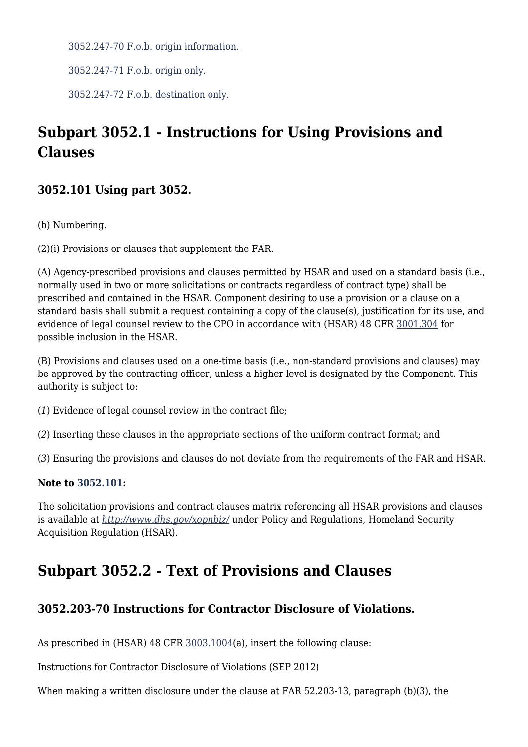[3052.247-70 F.o.b. origin information.](https://origin-www.acquisition.gov/%5Brp:link:hsar-part-3052%5D#Section_3052_247_70_T48_70215512149)

[3052.247-71 F.o.b. origin only.](https://origin-www.acquisition.gov/%5Brp:link:hsar-part-3052%5D#Section_3052_247_71_T48_70215512150)

[3052.247-72 F.o.b. destination only.](https://origin-www.acquisition.gov/%5Brp:link:hsar-part-3052%5D#Section_3052_247_72_T48_70215512151)

# **Subpart 3052.1 - Instructions for Using Provisions and Clauses**

## **3052.101 Using part 3052.**

(b) Numbering.

(2)(i) Provisions or clauses that supplement the FAR.

(A) Agency-prescribed provisions and clauses permitted by HSAR and used on a standard basis (i.e., normally used in two or more solicitations or contracts regardless of contract type) shall be prescribed and contained in the HSAR. Component desiring to use a provision or a clause on a standard basis shall submit a request containing a copy of the clause(s), justification for its use, and evidence of legal counsel review to the CPO in accordance with (HSAR) 48 CFR [3001.304](https://origin-www.acquisition.gov/%5Brp:link:hsar-part-3001%5D#Section_3001_304_T48_70282216) for possible inclusion in the HSAR.

(B) Provisions and clauses used on a one-time basis (i.e., non-standard provisions and clauses) may be approved by the contracting officer, unless a higher level is designated by the Component. This authority is subject to:

- (*1*) Evidence of legal counsel review in the contract file;
- (*2*) Inserting these clauses in the appropriate sections of the uniform contract format; and
- (*3*) Ensuring the provisions and clauses do not deviate from the requirements of the FAR and HSAR.

#### **Note to [3052.101:](https://origin-www.acquisition.gov/%5Brp:link:hsar-part-3052%5D#Section_3052_101_T48_7021551111)**

The solicitation provisions and contract clauses matrix referencing all HSAR provisions and clauses is available at *<http://www.dhs.gov/xopnbiz/>* under Policy and Regulations, Homeland Security Acquisition Regulation (HSAR).

# **Subpart 3052.2 - Text of Provisions and Clauses**

# **3052.203-70 Instructions for Contractor Disclosure of Violations.**

As prescribed in (HSAR) 48 CFR [3003.1004\(](https://origin-www.acquisition.gov/%5Brp:link:hsar-part-3003%5D#Section_3003_1004_T48_70284712)a), insert the following clause:

Instructions for Contractor Disclosure of Violations (SEP 2012)

When making a written disclosure under the clause at FAR 52.203-13, paragraph (b)(3), the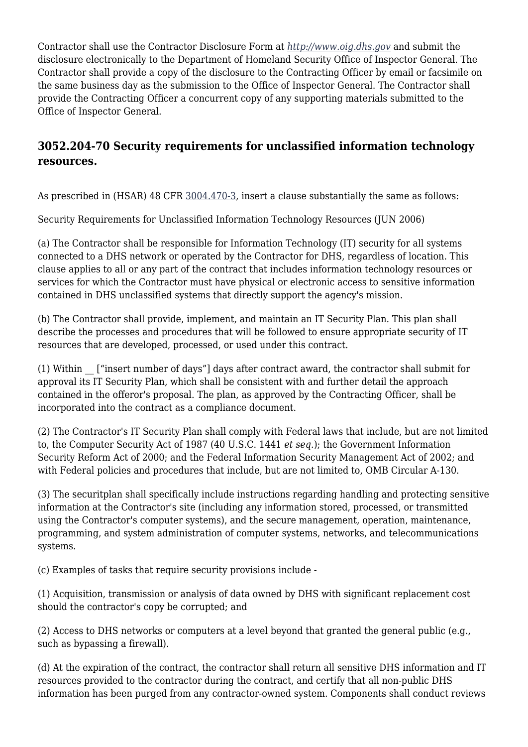Contractor shall use the Contractor Disclosure Form at *<http://www.oig.dhs.gov>* and submit the disclosure electronically to the Department of Homeland Security Office of Inspector General. The Contractor shall provide a copy of the disclosure to the Contracting Officer by email or facsimile on the same business day as the submission to the Office of Inspector General. The Contractor shall provide the Contracting Officer a concurrent copy of any supporting materials submitted to the Office of Inspector General.

# **3052.204-70 Security requirements for unclassified information technology resources.**

As prescribed in (HSAR) 48 CFR [3004.470-3](https://origin-www.acquisition.gov/%5Brp:link:hsar-part-3004%5D#Section_3004_470_3_T48_70285214), insert a clause substantially the same as follows:

Security Requirements for Unclassified Information Technology Resources (JUN 2006)

(a) The Contractor shall be responsible for Information Technology (IT) security for all systems connected to a DHS network or operated by the Contractor for DHS, regardless of location. This clause applies to all or any part of the contract that includes information technology resources or services for which the Contractor must have physical or electronic access to sensitive information contained in DHS unclassified systems that directly support the agency's mission.

(b) The Contractor shall provide, implement, and maintain an IT Security Plan. This plan shall describe the processes and procedures that will be followed to ensure appropriate security of IT resources that are developed, processed, or used under this contract.

(1) Within \_\_ ["insert number of days"] days after contract award, the contractor shall submit for approval its IT Security Plan, which shall be consistent with and further detail the approach contained in the offeror's proposal. The plan, as approved by the Contracting Officer, shall be incorporated into the contract as a compliance document.

(2) The Contractor's IT Security Plan shall comply with Federal laws that include, but are not limited to, the Computer Security Act of 1987 (40 U.S.C. 1441 *et seq.*); the Government Information Security Reform Act of 2000; and the Federal Information Security Management Act of 2002; and with Federal policies and procedures that include, but are not limited to, OMB Circular A-130.

(3) The securitplan shall specifically include instructions regarding handling and protecting sensitive information at the Contractor's site (including any information stored, processed, or transmitted using the Contractor's computer systems), and the secure management, operation, maintenance, programming, and system administration of computer systems, networks, and telecommunications systems.

(c) Examples of tasks that require security provisions include -

(1) Acquisition, transmission or analysis of data owned by DHS with significant replacement cost should the contractor's copy be corrupted; and

(2) Access to DHS networks or computers at a level beyond that granted the general public (e.g., such as bypassing a firewall).

(d) At the expiration of the contract, the contractor shall return all sensitive DHS information and IT resources provided to the contractor during the contract, and certify that all non-public DHS information has been purged from any contractor-owned system. Components shall conduct reviews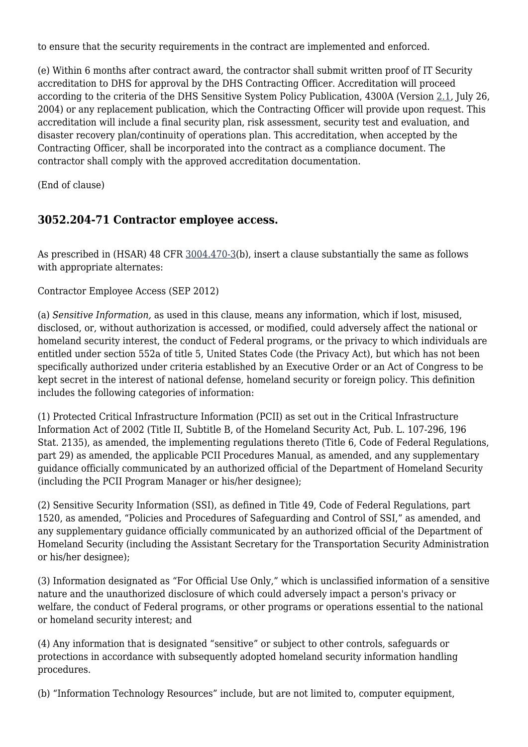to ensure that the security requirements in the contract are implemented and enforced.

(e) Within 6 months after contract award, the contractor shall submit written proof of IT Security accreditation to DHS for approval by the DHS Contracting Officer. Accreditation will proceed according to the criteria of the DHS Sensitive System Policy Publication, 4300A (Version [2.1](https://origin-www.acquisition.gov/%5Brp:link:hsar-subpart-7011%5D#Subpart_2_1_T48_701131), July 26, 2004) or any replacement publication, which the Contracting Officer will provide upon request. This accreditation will include a final security plan, risk assessment, security test and evaluation, and disaster recovery plan/continuity of operations plan. This accreditation, when accepted by the Contracting Officer, shall be incorporated into the contract as a compliance document. The contractor shall comply with the approved accreditation documentation.

(End of clause)

## **3052.204-71 Contractor employee access.**

As prescribed in (HSAR) 48 CFR [3004.470-3](https://origin-www.acquisition.gov/%5Brp:link:hsar-part-3004%5D#Section_3004_470_3_T48_70285214)(b), insert a clause substantially the same as follows with appropriate alternates:

Contractor Employee Access (SEP 2012)

(a) *Sensitive Information,* as used in this clause, means any information, which if lost, misused, disclosed, or, without authorization is accessed, or modified, could adversely affect the national or homeland security interest, the conduct of Federal programs, or the privacy to which individuals are entitled under section 552a of title 5, United States Code (the Privacy Act), but which has not been specifically authorized under criteria established by an Executive Order or an Act of Congress to be kept secret in the interest of national defense, homeland security or foreign policy. This definition includes the following categories of information:

(1) Protected Critical Infrastructure Information (PCII) as set out in the Critical Infrastructure Information Act of 2002 (Title II, Subtitle B, of the Homeland Security Act, Pub. L. 107-296, 196 Stat. 2135), as amended, the implementing regulations thereto (Title 6, Code of Federal Regulations, part 29) as amended, the applicable PCII Procedures Manual, as amended, and any supplementary guidance officially communicated by an authorized official of the Department of Homeland Security (including the PCII Program Manager or his/her designee);

(2) Sensitive Security Information (SSI), as defined in Title 49, Code of Federal Regulations, part 1520, as amended, "Policies and Procedures of Safeguarding and Control of SSI," as amended, and any supplementary guidance officially communicated by an authorized official of the Department of Homeland Security (including the Assistant Secretary for the Transportation Security Administration or his/her designee);

(3) Information designated as "For Official Use Only," which is unclassified information of a sensitive nature and the unauthorized disclosure of which could adversely impact a person's privacy or welfare, the conduct of Federal programs, or other programs or operations essential to the national or homeland security interest; and

(4) Any information that is designated "sensitive" or subject to other controls, safeguards or protections in accordance with subsequently adopted homeland security information handling procedures.

(b) "Information Technology Resources" include, but are not limited to, computer equipment,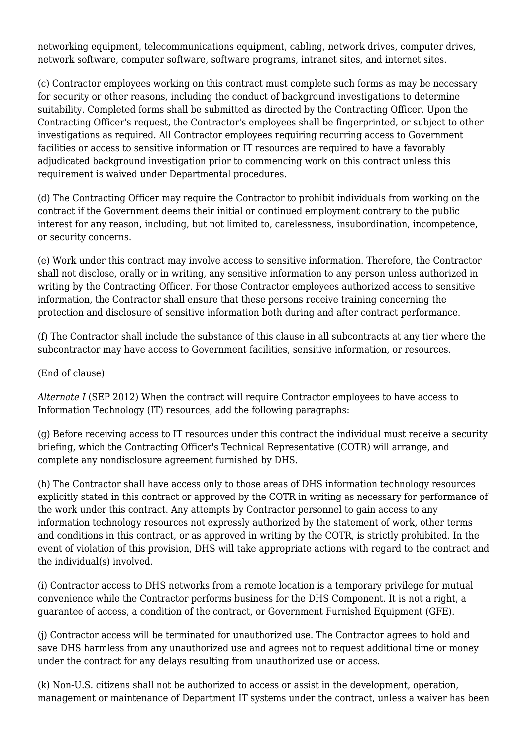networking equipment, telecommunications equipment, cabling, network drives, computer drives, network software, computer software, software programs, intranet sites, and internet sites.

(c) Contractor employees working on this contract must complete such forms as may be necessary for security or other reasons, including the conduct of background investigations to determine suitability. Completed forms shall be submitted as directed by the Contracting Officer. Upon the Contracting Officer's request, the Contractor's employees shall be fingerprinted, or subject to other investigations as required. All Contractor employees requiring recurring access to Government facilities or access to sensitive information or IT resources are required to have a favorably adjudicated background investigation prior to commencing work on this contract unless this requirement is waived under Departmental procedures.

(d) The Contracting Officer may require the Contractor to prohibit individuals from working on the contract if the Government deems their initial or continued employment contrary to the public interest for any reason, including, but not limited to, carelessness, insubordination, incompetence, or security concerns.

(e) Work under this contract may involve access to sensitive information. Therefore, the Contractor shall not disclose, orally or in writing, any sensitive information to any person unless authorized in writing by the Contracting Officer. For those Contractor employees authorized access to sensitive information, the Contractor shall ensure that these persons receive training concerning the protection and disclosure of sensitive information both during and after contract performance.

(f) The Contractor shall include the substance of this clause in all subcontracts at any tier where the subcontractor may have access to Government facilities, sensitive information, or resources.

(End of clause)

*Alternate I* (SEP 2012) When the contract will require Contractor employees to have access to Information Technology (IT) resources, add the following paragraphs:

(g) Before receiving access to IT resources under this contract the individual must receive a security briefing, which the Contracting Officer's Technical Representative (COTR) will arrange, and complete any nondisclosure agreement furnished by DHS.

(h) The Contractor shall have access only to those areas of DHS information technology resources explicitly stated in this contract or approved by the COTR in writing as necessary for performance of the work under this contract. Any attempts by Contractor personnel to gain access to any information technology resources not expressly authorized by the statement of work, other terms and conditions in this contract, or as approved in writing by the COTR, is strictly prohibited. In the event of violation of this provision, DHS will take appropriate actions with regard to the contract and the individual(s) involved.

(i) Contractor access to DHS networks from a remote location is a temporary privilege for mutual convenience while the Contractor performs business for the DHS Component. It is not a right, a guarantee of access, a condition of the contract, or Government Furnished Equipment (GFE).

(j) Contractor access will be terminated for unauthorized use. The Contractor agrees to hold and save DHS harmless from any unauthorized use and agrees not to request additional time or money under the contract for any delays resulting from unauthorized use or access.

(k) Non-U.S. citizens shall not be authorized to access or assist in the development, operation, management or maintenance of Department IT systems under the contract, unless a waiver has been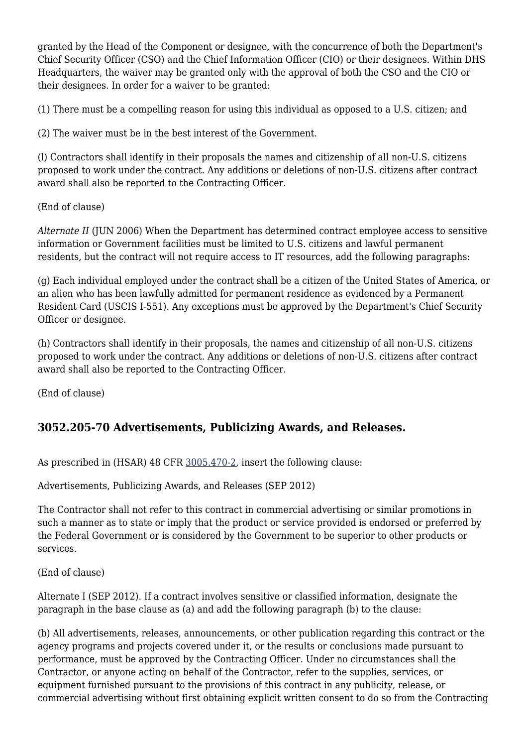granted by the Head of the Component or designee, with the concurrence of both the Department's Chief Security Officer (CSO) and the Chief Information Officer (CIO) or their designees. Within DHS Headquarters, the waiver may be granted only with the approval of both the CSO and the CIO or their designees. In order for a waiver to be granted:

(1) There must be a compelling reason for using this individual as opposed to a U.S. citizen; and

(2) The waiver must be in the best interest of the Government.

(l) Contractors shall identify in their proposals the names and citizenship of all non-U.S. citizens proposed to work under the contract. Any additions or deletions of non-U.S. citizens after contract award shall also be reported to the Contracting Officer.

(End of clause)

*Alternate II* (JUN 2006) When the Department has determined contract employee access to sensitive information or Government facilities must be limited to U.S. citizens and lawful permanent residents, but the contract will not require access to IT resources, add the following paragraphs:

(g) Each individual employed under the contract shall be a citizen of the United States of America, or an alien who has been lawfully admitted for permanent residence as evidenced by a Permanent Resident Card (USCIS I-551). Any exceptions must be approved by the Department's Chief Security Officer or designee.

(h) Contractors shall identify in their proposals, the names and citizenship of all non-U.S. citizens proposed to work under the contract. Any additions or deletions of non-U.S. citizens after contract award shall also be reported to the Contracting Officer.

(End of clause)

# **3052.205-70 Advertisements, Publicizing Awards, and Releases.**

As prescribed in (HSAR) 48 CFR [3005.470-2](https://origin-www.acquisition.gov/%5Brp:link:hsar-part-3005%5D#Section_3005_470_2_T48_70296114), insert the following clause:

Advertisements, Publicizing Awards, and Releases (SEP 2012)

The Contractor shall not refer to this contract in commercial advertising or similar promotions in such a manner as to state or imply that the product or service provided is endorsed or preferred by the Federal Government or is considered by the Government to be superior to other products or services.

(End of clause)

Alternate I (SEP 2012). If a contract involves sensitive or classified information, designate the paragraph in the base clause as (a) and add the following paragraph (b) to the clause:

(b) All advertisements, releases, announcements, or other publication regarding this contract or the agency programs and projects covered under it, or the results or conclusions made pursuant to performance, must be approved by the Contracting Officer. Under no circumstances shall the Contractor, or anyone acting on behalf of the Contractor, refer to the supplies, services, or equipment furnished pursuant to the provisions of this contract in any publicity, release, or commercial advertising without first obtaining explicit written consent to do so from the Contracting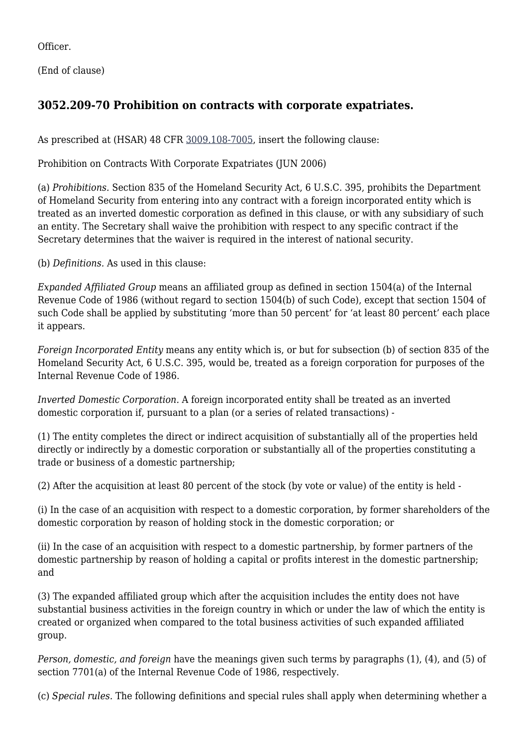Officer.

(End of clause)

# **3052.209-70 Prohibition on contracts with corporate expatriates.**

As prescribed at (HSAR) 48 CFR [3009.108-7005](https://origin-www.acquisition.gov/%5Brp:link:hsar-part-3009%5D#Section_3009_108_7005_T48_702910116), insert the following clause:

Prohibition on Contracts With Corporate Expatriates (JUN 2006)

(a) *Prohibitions.* Section 835 of the Homeland Security Act, 6 U.S.C. 395, prohibits the Department of Homeland Security from entering into any contract with a foreign incorporated entity which is treated as an inverted domestic corporation as defined in this clause, or with any subsidiary of such an entity. The Secretary shall waive the prohibition with respect to any specific contract if the Secretary determines that the waiver is required in the interest of national security.

(b) *Definitions.* As used in this clause:

*Expanded Affiliated Group* means an affiliated group as defined in section 1504(a) of the Internal Revenue Code of 1986 (without regard to section 1504(b) of such Code), except that section 1504 of such Code shall be applied by substituting 'more than 50 percent' for 'at least 80 percent' each place it appears.

*Foreign Incorporated Entity* means any entity which is, or but for subsection (b) of section 835 of the Homeland Security Act, 6 U.S.C. 395, would be, treated as a foreign corporation for purposes of the Internal Revenue Code of 1986.

*Inverted Domestic Corporation.* A foreign incorporated entity shall be treated as an inverted domestic corporation if, pursuant to a plan (or a series of related transactions) -

(1) The entity completes the direct or indirect acquisition of substantially all of the properties held directly or indirectly by a domestic corporation or substantially all of the properties constituting a trade or business of a domestic partnership;

(2) After the acquisition at least 80 percent of the stock (by vote or value) of the entity is held -

(i) In the case of an acquisition with respect to a domestic corporation, by former shareholders of the domestic corporation by reason of holding stock in the domestic corporation; or

(ii) In the case of an acquisition with respect to a domestic partnership, by former partners of the domestic partnership by reason of holding a capital or profits interest in the domestic partnership; and

(3) The expanded affiliated group which after the acquisition includes the entity does not have substantial business activities in the foreign country in which or under the law of which the entity is created or organized when compared to the total business activities of such expanded affiliated group.

*Person, domestic, and foreign* have the meanings given such terms by paragraphs (1), (4), and (5) of section 7701(a) of the Internal Revenue Code of 1986, respectively.

(c) *Special rules.* The following definitions and special rules shall apply when determining whether a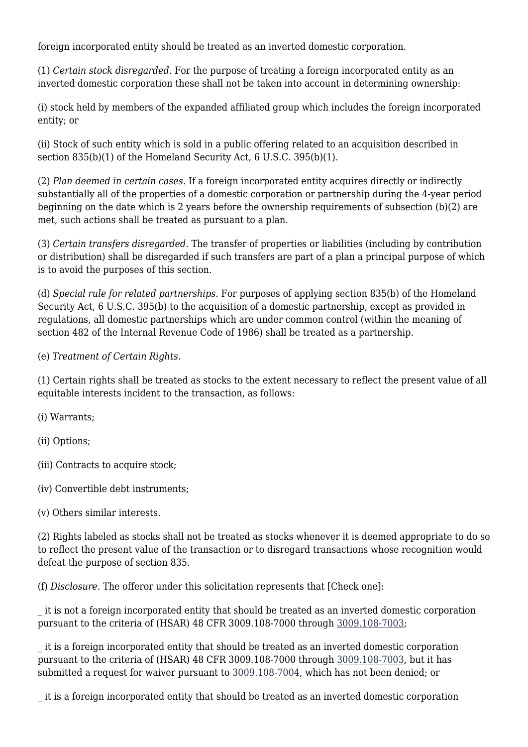foreign incorporated entity should be treated as an inverted domestic corporation.

(1) *Certain stock disregarded.* For the purpose of treating a foreign incorporated entity as an inverted domestic corporation these shall not be taken into account in determining ownership:

(i) stock held by members of the expanded affiliated group which includes the foreign incorporated entity; or

(ii) Stock of such entity which is sold in a public offering related to an acquisition described in section 835(b)(1) of the Homeland Security Act, 6 U.S.C. 395(b)(1).

(2) *Plan deemed in certain cases.* If a foreign incorporated entity acquires directly or indirectly substantially all of the properties of a domestic corporation or partnership during the 4-year period beginning on the date which is 2 years before the ownership requirements of subsection (b)(2) are met, such actions shall be treated as pursuant to a plan.

(3) *Certain transfers disregarded.* The transfer of properties or liabilities (including by contribution or distribution) shall be disregarded if such transfers are part of a plan a principal purpose of which is to avoid the purposes of this section.

(d) *Special rule for related partnerships.* For purposes of applying section 835(b) of the Homeland Security Act, 6 U.S.C. 395(b) to the acquisition of a domestic partnership, except as provided in regulations, all domestic partnerships which are under common control (within the meaning of section 482 of the Internal Revenue Code of 1986) shall be treated as a partnership.

(e) *Treatment of Certain Rights.*

(1) Certain rights shall be treated as stocks to the extent necessary to reflect the present value of all equitable interests incident to the transaction, as follows:

(i) Warrants;

(ii) Options;

(iii) Contracts to acquire stock;

(iv) Convertible debt instruments;

(v) Others similar interests.

(2) Rights labeled as stocks shall not be treated as stocks whenever it is deemed appropriate to do so to reflect the present value of the transaction or to disregard transactions whose recognition would defeat the purpose of section 835.

(f) *Disclosure.* The offeror under this solicitation represents that [Check one]:

\_ it is not a foreign incorporated entity that should be treated as an inverted domestic corporation pursuant to the criteria of (HSAR) 48 CFR 3009.108-7000 through [3009.108-7003;](https://origin-www.acquisition.gov/%5Brp:link:hsar-part-3009%5D#Section_3009_108_7003_T48_702910114)

\_ it is a foreign incorporated entity that should be treated as an inverted domestic corporation pursuant to the criteria of (HSAR) 48 CFR 3009.108-7000 through [3009.108-7003,](https://origin-www.acquisition.gov/%5Brp:link:hsar-part-3009%5D#Section_3009_108_7003_T48_702910114) but it has submitted a request for waiver pursuant to [3009.108-7004,](https://origin-www.acquisition.gov/%5Brp:link:hsar-part-3009%5D#Section_3009_108_7004_T48_702910115) which has not been denied; or

it is a foreign incorporated entity that should be treated as an inverted domestic corporation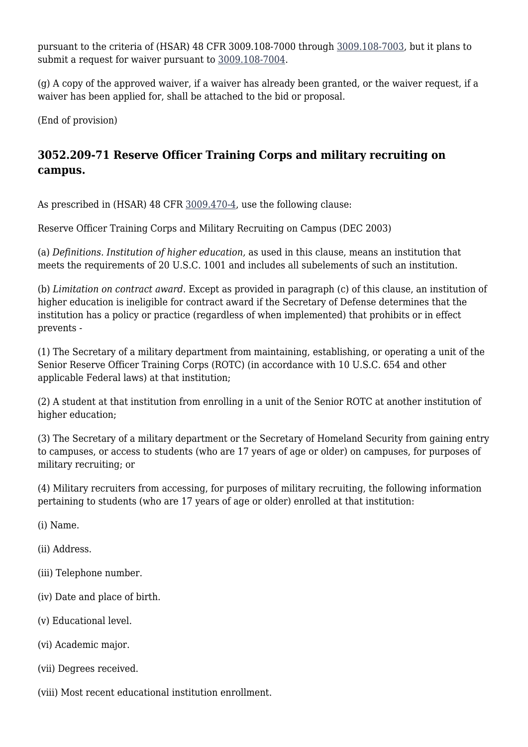pursuant to the criteria of (HSAR) 48 CFR 3009.108-7000 through [3009.108-7003,](https://origin-www.acquisition.gov/%5Brp:link:hsar-part-3009%5D#Section_3009_108_7003_T48_702910114) but it plans to submit a request for waiver pursuant to [3009.108-7004.](https://origin-www.acquisition.gov/%5Brp:link:hsar-part-3009%5D#Section_3009_108_7004_T48_702910115)

(g) A copy of the approved waiver, if a waiver has already been granted, or the waiver request, if a waiver has been applied for, shall be attached to the bid or proposal.

(End of provision)

# **3052.209-71 Reserve Officer Training Corps and military recruiting on campus.**

As prescribed in (HSAR) 48 CFR [3009.470-4](https://origin-www.acquisition.gov/%5Brp:link:hsar-part-3009%5D#Section_3009_470_4_T48_702910215), use the following clause:

Reserve Officer Training Corps and Military Recruiting on Campus (DEC 2003)

(a) *Definitions. Institution of higher education,* as used in this clause, means an institution that meets the requirements of 20 U.S.C. 1001 and includes all subelements of such an institution.

(b) *Limitation on contract award.* Except as provided in paragraph (c) of this clause, an institution of higher education is ineligible for contract award if the Secretary of Defense determines that the institution has a policy or practice (regardless of when implemented) that prohibits or in effect prevents -

(1) The Secretary of a military department from maintaining, establishing, or operating a unit of the Senior Reserve Officer Training Corps (ROTC) (in accordance with 10 U.S.C. 654 and other applicable Federal laws) at that institution;

(2) A student at that institution from enrolling in a unit of the Senior ROTC at another institution of higher education;

(3) The Secretary of a military department or the Secretary of Homeland Security from gaining entry to campuses, or access to students (who are 17 years of age or older) on campuses, for purposes of military recruiting; or

(4) Military recruiters from accessing, for purposes of military recruiting, the following information pertaining to students (who are 17 years of age or older) enrolled at that institution:

- (i) Name.
- (ii) Address.
- (iii) Telephone number.
- (iv) Date and place of birth.
- (v) Educational level.
- (vi) Academic major.
- (vii) Degrees received.
- (viii) Most recent educational institution enrollment.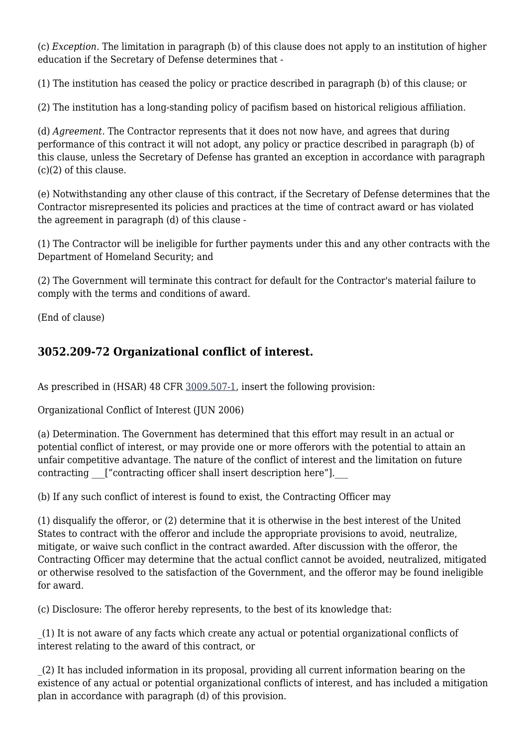(c) *Exception.* The limitation in paragraph (b) of this clause does not apply to an institution of higher education if the Secretary of Defense determines that -

(1) The institution has ceased the policy or practice described in paragraph (b) of this clause; or

(2) The institution has a long-standing policy of pacifism based on historical religious affiliation.

(d) *Agreement.* The Contractor represents that it does not now have, and agrees that during performance of this contract it will not adopt, any policy or practice described in paragraph (b) of this clause, unless the Secretary of Defense has granted an exception in accordance with paragraph (c)(2) of this clause.

(e) Notwithstanding any other clause of this contract, if the Secretary of Defense determines that the Contractor misrepresented its policies and practices at the time of contract award or has violated the agreement in paragraph (d) of this clause -

(1) The Contractor will be ineligible for further payments under this and any other contracts with the Department of Homeland Security; and

(2) The Government will terminate this contract for default for the Contractor's material failure to comply with the terms and conditions of award.

(End of clause)

# **3052.209-72 Organizational conflict of interest.**

As prescribed in (HSAR) 48 CFR [3009.507-1](https://origin-www.acquisition.gov/%5Brp:link:hsar-part-3009%5D#Section_3009_507_1_T48_702910312), insert the following provision:

Organizational Conflict of Interest (JUN 2006)

(a) Determination. The Government has determined that this effort may result in an actual or potential conflict of interest, or may provide one or more offerors with the potential to attain an unfair competitive advantage. The nature of the conflict of interest and the limitation on future contracting ["contracting officer shall insert description here"].

(b) If any such conflict of interest is found to exist, the Contracting Officer may

(1) disqualify the offeror, or (2) determine that it is otherwise in the best interest of the United States to contract with the offeror and include the appropriate provisions to avoid, neutralize, mitigate, or waive such conflict in the contract awarded. After discussion with the offeror, the Contracting Officer may determine that the actual conflict cannot be avoided, neutralized, mitigated or otherwise resolved to the satisfaction of the Government, and the offeror may be found ineligible for award.

(c) Disclosure: The offeror hereby represents, to the best of its knowledge that:

\_(1) It is not aware of any facts which create any actual or potential organizational conflicts of interest relating to the award of this contract, or

\_(2) It has included information in its proposal, providing all current information bearing on the existence of any actual or potential organizational conflicts of interest, and has included a mitigation plan in accordance with paragraph (d) of this provision.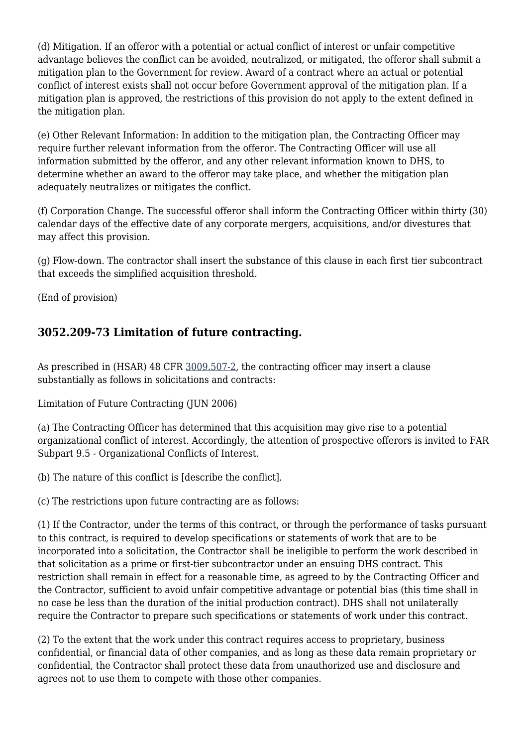(d) Mitigation. If an offeror with a potential or actual conflict of interest or unfair competitive advantage believes the conflict can be avoided, neutralized, or mitigated, the offeror shall submit a mitigation plan to the Government for review. Award of a contract where an actual or potential conflict of interest exists shall not occur before Government approval of the mitigation plan. If a mitigation plan is approved, the restrictions of this provision do not apply to the extent defined in the mitigation plan.

(e) Other Relevant Information: In addition to the mitigation plan, the Contracting Officer may require further relevant information from the offeror. The Contracting Officer will use all information submitted by the offeror, and any other relevant information known to DHS, to determine whether an award to the offeror may take place, and whether the mitigation plan adequately neutralizes or mitigates the conflict.

(f) Corporation Change. The successful offeror shall inform the Contracting Officer within thirty (30) calendar days of the effective date of any corporate mergers, acquisitions, and/or divestures that may affect this provision.

(g) Flow-down. The contractor shall insert the substance of this clause in each first tier subcontract that exceeds the simplified acquisition threshold.

(End of provision)

# **3052.209-73 Limitation of future contracting.**

As prescribed in (HSAR) 48 CFR [3009.507-2](https://origin-www.acquisition.gov/%5Brp:link:hsar-part-3009%5D#Section_3009_507_2_T48_702910313), the contracting officer may insert a clause substantially as follows in solicitations and contracts:

Limitation of Future Contracting (JUN 2006)

(a) The Contracting Officer has determined that this acquisition may give rise to a potential organizational conflict of interest. Accordingly, the attention of prospective offerors is invited to FAR Subpart 9.5 - Organizational Conflicts of Interest.

(b) The nature of this conflict is [describe the conflict].

(c) The restrictions upon future contracting are as follows:

(1) If the Contractor, under the terms of this contract, or through the performance of tasks pursuant to this contract, is required to develop specifications or statements of work that are to be incorporated into a solicitation, the Contractor shall be ineligible to perform the work described in that solicitation as a prime or first-tier subcontractor under an ensuing DHS contract. This restriction shall remain in effect for a reasonable time, as agreed to by the Contracting Officer and the Contractor, sufficient to avoid unfair competitive advantage or potential bias (this time shall in no case be less than the duration of the initial production contract). DHS shall not unilaterally require the Contractor to prepare such specifications or statements of work under this contract.

(2) To the extent that the work under this contract requires access to proprietary, business confidential, or financial data of other companies, and as long as these data remain proprietary or confidential, the Contractor shall protect these data from unauthorized use and disclosure and agrees not to use them to compete with those other companies.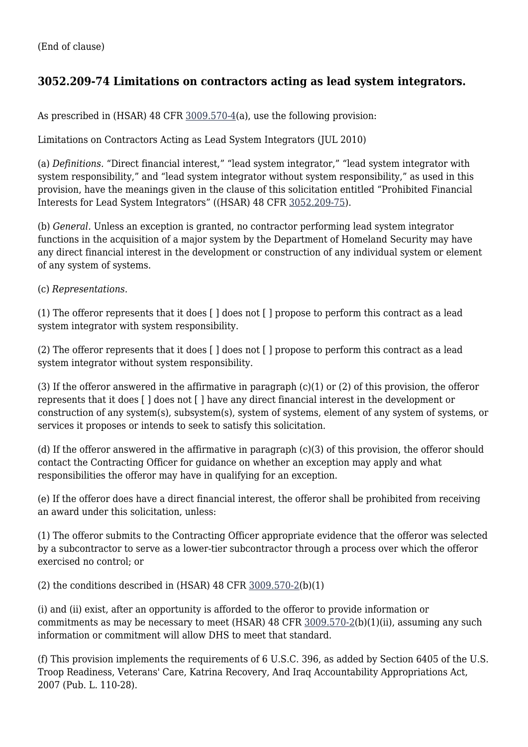# **3052.209-74 Limitations on contractors acting as lead system integrators.**

As prescribed in (HSAR) 48 CFR [3009.570-4](https://origin-www.acquisition.gov/%5Brp:link:hsar-part-3009%5D#Section_3009_570_4_T48_702910318)(a), use the following provision:

Limitations on Contractors Acting as Lead System Integrators (JUL 2010)

(a) *Definitions.* "Direct financial interest," "lead system integrator," "lead system integrator with system responsibility," and "lead system integrator without system responsibility," as used in this provision, have the meanings given in the clause of this solicitation entitled "Prohibited Financial Interests for Lead System Integrators" ((HSAR) 48 CFR [3052.209-75](https://origin-www.acquisition.gov/%5Brp:link:hsar-part-3052%5D#Section_3052_209_75_T48_70215512110)).

(b) *General.* Unless an exception is granted, no contractor performing lead system integrator functions in the acquisition of a major system by the Department of Homeland Security may have any direct financial interest in the development or construction of any individual system or element of any system of systems.

(c) *Representations.*

(1) The offeror represents that it does [ ] does not [ ] propose to perform this contract as a lead system integrator with system responsibility.

(2) The offeror represents that it does [ ] does not [ ] propose to perform this contract as a lead system integrator without system responsibility.

(3) If the offeror answered in the affirmative in paragraph (c)(1) or (2) of this provision, the offeror represents that it does [ ] does not [ ] have any direct financial interest in the development or construction of any system(s), subsystem(s), system of systems, element of any system of systems, or services it proposes or intends to seek to satisfy this solicitation.

(d) If the offeror answered in the affirmative in paragraph (c)(3) of this provision, the offeror should contact the Contracting Officer for guidance on whether an exception may apply and what responsibilities the offeror may have in qualifying for an exception.

(e) If the offeror does have a direct financial interest, the offeror shall be prohibited from receiving an award under this solicitation, unless:

(1) The offeror submits to the Contracting Officer appropriate evidence that the offeror was selected by a subcontractor to serve as a lower-tier subcontractor through a process over which the offeror exercised no control; or

(2) the conditions described in  $(HSAR)$  48 CFR  $3009.570-2(b)(1)$  $3009.570-2(b)(1)$ 

(i) and (ii) exist, after an opportunity is afforded to the offeror to provide information or commitments as may be necessary to meet (HSAR) 48 CFR [3009.570-2](https://origin-www.acquisition.gov/%5Brp:link:hsar-part-3009%5D#Section_3009_570_2_T48_702910316)(b)(1)(ii), assuming any such information or commitment will allow DHS to meet that standard.

(f) This provision implements the requirements of 6 U.S.C. 396, as added by Section 6405 of the U.S. Troop Readiness, Veterans' Care, Katrina Recovery, And Iraq Accountability Appropriations Act, 2007 (Pub. L. 110-28).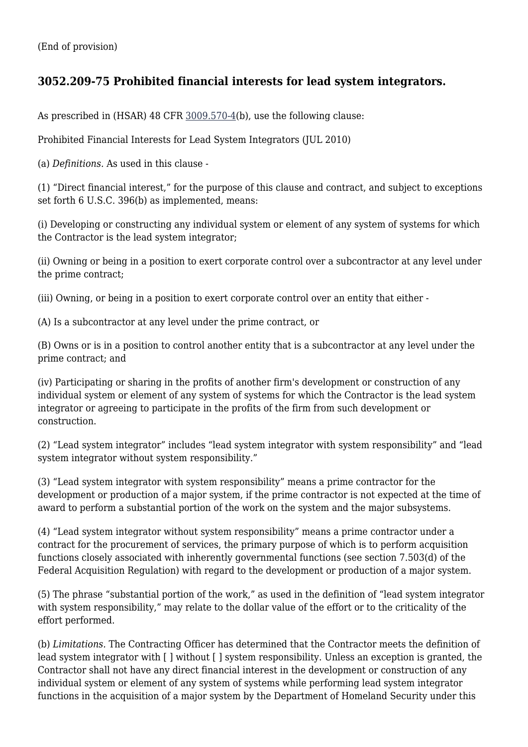# **3052.209-75 Prohibited financial interests for lead system integrators.**

As prescribed in (HSAR) 48 CFR [3009.570-4](https://origin-www.acquisition.gov/%5Brp:link:hsar-part-3009%5D#Section_3009_570_4_T48_702910318)(b), use the following clause:

Prohibited Financial Interests for Lead System Integrators (JUL 2010)

(a) *Definitions.* As used in this clause -

(1) "Direct financial interest," for the purpose of this clause and contract, and subject to exceptions set forth 6 U.S.C. 396(b) as implemented, means:

(i) Developing or constructing any individual system or element of any system of systems for which the Contractor is the lead system integrator;

(ii) Owning or being in a position to exert corporate control over a subcontractor at any level under the prime contract;

(iii) Owning, or being in a position to exert corporate control over an entity that either -

(A) Is a subcontractor at any level under the prime contract, or

(B) Owns or is in a position to control another entity that is a subcontractor at any level under the prime contract; and

(iv) Participating or sharing in the profits of another firm's development or construction of any individual system or element of any system of systems for which the Contractor is the lead system integrator or agreeing to participate in the profits of the firm from such development or construction.

(2) "Lead system integrator" includes "lead system integrator with system responsibility" and "lead system integrator without system responsibility."

(3) "Lead system integrator with system responsibility" means a prime contractor for the development or production of a major system, if the prime contractor is not expected at the time of award to perform a substantial portion of the work on the system and the major subsystems.

(4) "Lead system integrator without system responsibility" means a prime contractor under a contract for the procurement of services, the primary purpose of which is to perform acquisition functions closely associated with inherently governmental functions (see section 7.503(d) of the Federal Acquisition Regulation) with regard to the development or production of a major system.

(5) The phrase "substantial portion of the work," as used in the definition of "lead system integrator with system responsibility," may relate to the dollar value of the effort or to the criticality of the effort performed.

(b) *Limitations.* The Contracting Officer has determined that the Contractor meets the definition of lead system integrator with [ ] without [ ] system responsibility. Unless an exception is granted, the Contractor shall not have any direct financial interest in the development or construction of any individual system or element of any system of systems while performing lead system integrator functions in the acquisition of a major system by the Department of Homeland Security under this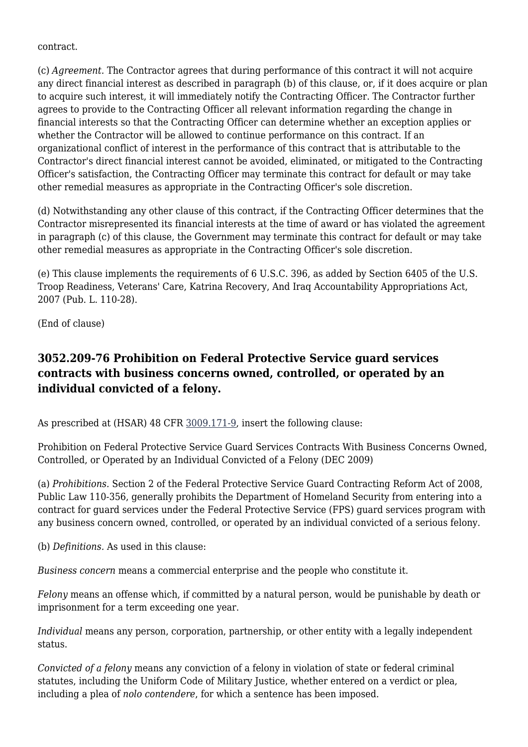#### contract.

(c) *Agreement.* The Contractor agrees that during performance of this contract it will not acquire any direct financial interest as described in paragraph (b) of this clause, or, if it does acquire or plan to acquire such interest, it will immediately notify the Contracting Officer. The Contractor further agrees to provide to the Contracting Officer all relevant information regarding the change in financial interests so that the Contracting Officer can determine whether an exception applies or whether the Contractor will be allowed to continue performance on this contract. If an organizational conflict of interest in the performance of this contract that is attributable to the Contractor's direct financial interest cannot be avoided, eliminated, or mitigated to the Contracting Officer's satisfaction, the Contracting Officer may terminate this contract for default or may take other remedial measures as appropriate in the Contracting Officer's sole discretion.

(d) Notwithstanding any other clause of this contract, if the Contracting Officer determines that the Contractor misrepresented its financial interests at the time of award or has violated the agreement in paragraph (c) of this clause, the Government may terminate this contract for default or may take other remedial measures as appropriate in the Contracting Officer's sole discretion.

(e) This clause implements the requirements of 6 U.S.C. 396, as added by Section 6405 of the U.S. Troop Readiness, Veterans' Care, Katrina Recovery, And Iraq Accountability Appropriations Act, 2007 (Pub. L. 110-28).

(End of clause)

## **3052.209-76 Prohibition on Federal Protective Service guard services contracts with business concerns owned, controlled, or operated by an individual convicted of a felony.**

As prescribed at (HSAR) 48 CFR [3009.171-9](https://origin-www.acquisition.gov/%5Brp:link:hsar-part-3009%5D#Section_3009_171_9_T48_7029101116), insert the following clause:

Prohibition on Federal Protective Service Guard Services Contracts With Business Concerns Owned, Controlled, or Operated by an Individual Convicted of a Felony (DEC 2009)

(a) *Prohibitions.* Section 2 of the Federal Protective Service Guard Contracting Reform Act of 2008, Public Law 110-356, generally prohibits the Department of Homeland Security from entering into a contract for guard services under the Federal Protective Service (FPS) guard services program with any business concern owned, controlled, or operated by an individual convicted of a serious felony.

(b) *Definitions.* As used in this clause:

*Business concern* means a commercial enterprise and the people who constitute it.

*Felony* means an offense which, if committed by a natural person, would be punishable by death or imprisonment for a term exceeding one year.

*Individual* means any person, corporation, partnership, or other entity with a legally independent status.

*Convicted of a felony* means any conviction of a felony in violation of state or federal criminal statutes, including the Uniform Code of Military Justice, whether entered on a verdict or plea, including a plea of *nolo contendere*, for which a sentence has been imposed.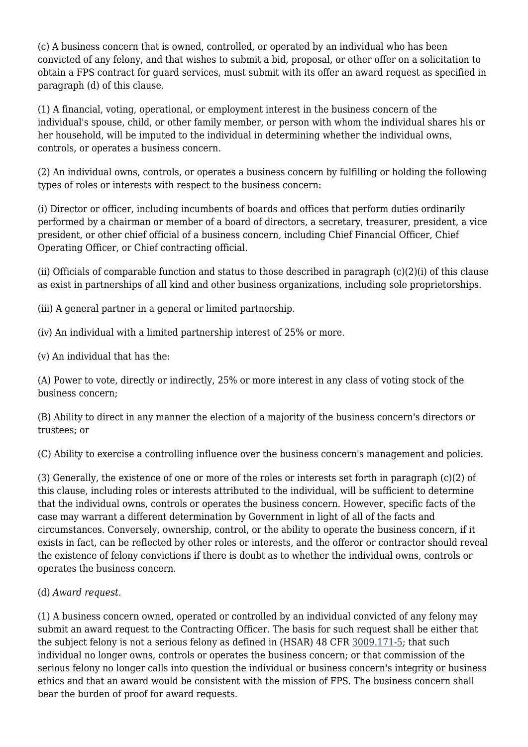(c) A business concern that is owned, controlled, or operated by an individual who has been convicted of any felony, and that wishes to submit a bid, proposal, or other offer on a solicitation to obtain a FPS contract for guard services, must submit with its offer an award request as specified in paragraph (d) of this clause.

(1) A financial, voting, operational, or employment interest in the business concern of the individual's spouse, child, or other family member, or person with whom the individual shares his or her household, will be imputed to the individual in determining whether the individual owns, controls, or operates a business concern.

(2) An individual owns, controls, or operates a business concern by fulfilling or holding the following types of roles or interests with respect to the business concern:

(i) Director or officer, including incumbents of boards and offices that perform duties ordinarily performed by a chairman or member of a board of directors, a secretary, treasurer, president, a vice president, or other chief official of a business concern, including Chief Financial Officer, Chief Operating Officer, or Chief contracting official.

(ii) Officials of comparable function and status to those described in paragraph (c)(2)(i) of this clause as exist in partnerships of all kind and other business organizations, including sole proprietorships.

(iii) A general partner in a general or limited partnership.

(iv) An individual with a limited partnership interest of 25% or more.

(v) An individual that has the:

(A) Power to vote, directly or indirectly, 25% or more interest in any class of voting stock of the business concern;

(B) Ability to direct in any manner the election of a majority of the business concern's directors or trustees; or

(C) Ability to exercise a controlling influence over the business concern's management and policies.

(3) Generally, the existence of one or more of the roles or interests set forth in paragraph (c)(2) of this clause, including roles or interests attributed to the individual, will be sufficient to determine that the individual owns, controls or operates the business concern. However, specific facts of the case may warrant a different determination by Government in light of all of the facts and circumstances. Conversely, ownership, control, or the ability to operate the business concern, if it exists in fact, can be reflected by other roles or interests, and the offeror or contractor should reveal the existence of felony convictions if there is doubt as to whether the individual owns, controls or operates the business concern.

### (d) *Award request.*

(1) A business concern owned, operated or controlled by an individual convicted of any felony may submit an award request to the Contracting Officer. The basis for such request shall be either that the subject felony is not a serious felony as defined in (HSAR) 48 CFR [3009.171-5](https://origin-www.acquisition.gov/%5Brp:link:hsar-part-3009%5D#Section_3009_171_5_T48_7029101112); that such individual no longer owns, controls or operates the business concern; or that commission of the serious felony no longer calls into question the individual or business concern's integrity or business ethics and that an award would be consistent with the mission of FPS. The business concern shall bear the burden of proof for award requests.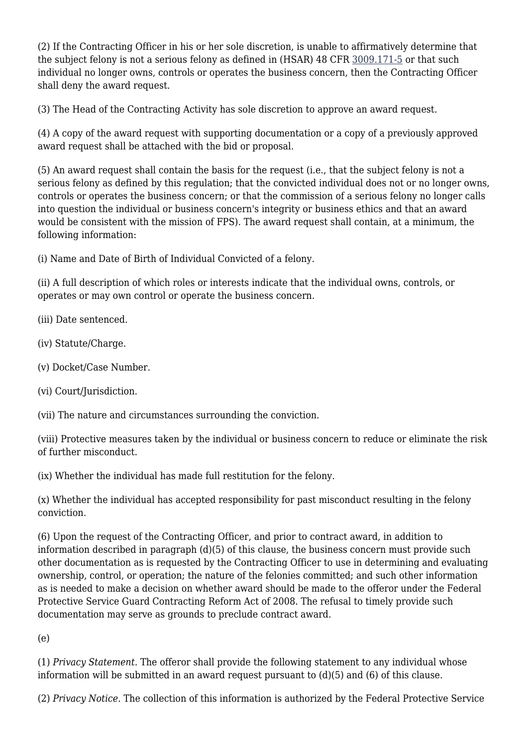(2) If the Contracting Officer in his or her sole discretion, is unable to affirmatively determine that the subject felony is not a serious felony as defined in (HSAR) 48 CFR [3009.171-5](https://origin-www.acquisition.gov/%5Brp:link:hsar-part-3009%5D#Section_3009_171_5_T48_7029101112) or that such individual no longer owns, controls or operates the business concern, then the Contracting Officer shall deny the award request.

(3) The Head of the Contracting Activity has sole discretion to approve an award request.

(4) A copy of the award request with supporting documentation or a copy of a previously approved award request shall be attached with the bid or proposal.

(5) An award request shall contain the basis for the request (i.e., that the subject felony is not a serious felony as defined by this regulation; that the convicted individual does not or no longer owns, controls or operates the business concern; or that the commission of a serious felony no longer calls into question the individual or business concern's integrity or business ethics and that an award would be consistent with the mission of FPS). The award request shall contain, at a minimum, the following information:

(i) Name and Date of Birth of Individual Convicted of a felony.

(ii) A full description of which roles or interests indicate that the individual owns, controls, or operates or may own control or operate the business concern.

(iii) Date sentenced.

(iv) Statute/Charge.

- (v) Docket/Case Number.
- (vi) Court/Jurisdiction.

(vii) The nature and circumstances surrounding the conviction.

(viii) Protective measures taken by the individual or business concern to reduce or eliminate the risk of further misconduct.

(ix) Whether the individual has made full restitution for the felony.

(x) Whether the individual has accepted responsibility for past misconduct resulting in the felony conviction.

(6) Upon the request of the Contracting Officer, and prior to contract award, in addition to information described in paragraph (d)(5) of this clause, the business concern must provide such other documentation as is requested by the Contracting Officer to use in determining and evaluating ownership, control, or operation; the nature of the felonies committed; and such other information as is needed to make a decision on whether award should be made to the offeror under the Federal Protective Service Guard Contracting Reform Act of 2008. The refusal to timely provide such documentation may serve as grounds to preclude contract award.

(e)

(1) *Privacy Statement.* The offeror shall provide the following statement to any individual whose information will be submitted in an award request pursuant to (d)(5) and (6) of this clause.

(2) *Privacy Notice.* The collection of this information is authorized by the Federal Protective Service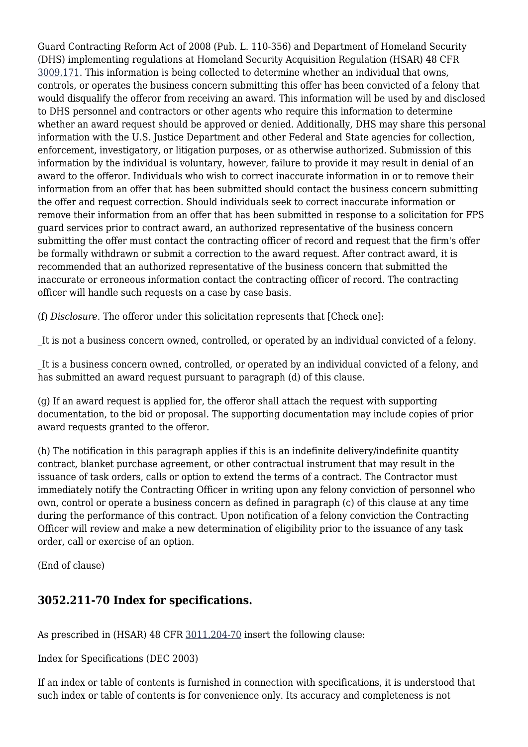Guard Contracting Reform Act of 2008 (Pub. L. 110-356) and Department of Homeland Security (DHS) implementing regulations at Homeland Security Acquisition Regulation (HSAR) 48 CFR [3009.171.](https://origin-www.acquisition.gov/%5Brp:link:hsar-part-3009%5D#Section_3009_171_T48_702910117) This information is being collected to determine whether an individual that owns, controls, or operates the business concern submitting this offer has been convicted of a felony that would disqualify the offeror from receiving an award. This information will be used by and disclosed to DHS personnel and contractors or other agents who require this information to determine whether an award request should be approved or denied. Additionally, DHS may share this personal information with the U.S. Justice Department and other Federal and State agencies for collection, enforcement, investigatory, or litigation purposes, or as otherwise authorized. Submission of this information by the individual is voluntary, however, failure to provide it may result in denial of an award to the offeror. Individuals who wish to correct inaccurate information in or to remove their information from an offer that has been submitted should contact the business concern submitting the offer and request correction. Should individuals seek to correct inaccurate information or remove their information from an offer that has been submitted in response to a solicitation for FPS guard services prior to contract award, an authorized representative of the business concern submitting the offer must contact the contracting officer of record and request that the firm's offer be formally withdrawn or submit a correction to the award request. After contract award, it is recommended that an authorized representative of the business concern that submitted the inaccurate or erroneous information contact the contracting officer of record. The contracting officer will handle such requests on a case by case basis.

(f) *Disclosure.* The offeror under this solicitation represents that [Check one]:

It is not a business concern owned, controlled, or operated by an individual convicted of a felony.

It is a business concern owned, controlled, or operated by an individual convicted of a felony, and has submitted an award request pursuant to paragraph (d) of this clause.

(g) If an award request is applied for, the offeror shall attach the request with supporting documentation, to the bid or proposal. The supporting documentation may include copies of prior award requests granted to the offeror.

(h) The notification in this paragraph applies if this is an indefinite delivery/indefinite quantity contract, blanket purchase agreement, or other contractual instrument that may result in the issuance of task orders, calls or option to extend the terms of a contract. The Contractor must immediately notify the Contracting Officer in writing upon any felony conviction of personnel who own, control or operate a business concern as defined in paragraph (c) of this clause at any time during the performance of this contract. Upon notification of a felony conviction the Contracting Officer will review and make a new determination of eligibility prior to the issuance of any task order, call or exercise of an option.

(End of clause)

## **3052.211-70 Index for specifications.**

As prescribed in (HSAR) 48 CFR [3011.204-70](https://origin-www.acquisition.gov/%5Brp:link:hsar-part-3011%5D#Section_3011_204_70_T48_702912211) insert the following clause:

Index for Specifications (DEC 2003)

If an index or table of contents is furnished in connection with specifications, it is understood that such index or table of contents is for convenience only. Its accuracy and completeness is not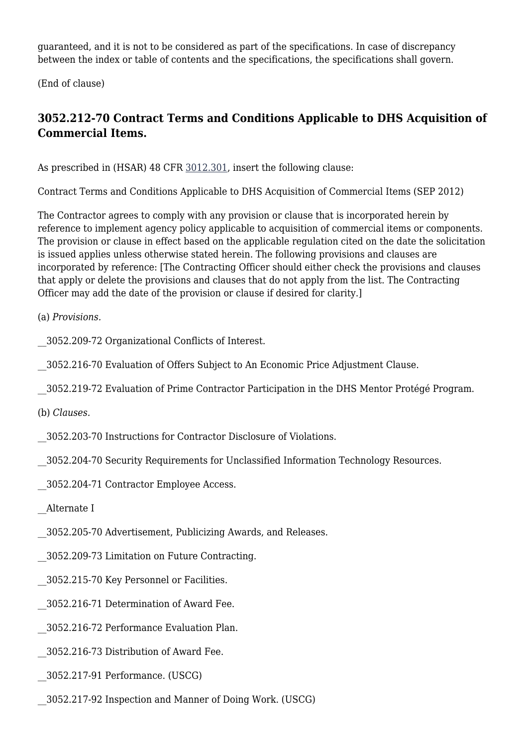guaranteed, and it is not to be considered as part of the specifications. In case of discrepancy between the index or table of contents and the specifications, the specifications shall govern.

(End of clause)

# **3052.212-70 Contract Terms and Conditions Applicable to DHS Acquisition of Commercial Items.**

As prescribed in (HSAR) 48 CFR [3012.301,](https://origin-www.acquisition.gov/%5Brp:link:hsar-part-3012%5D#Section_3012_301_T48_702913111) insert the following clause:

Contract Terms and Conditions Applicable to DHS Acquisition of Commercial Items (SEP 2012)

The Contractor agrees to comply with any provision or clause that is incorporated herein by reference to implement agency policy applicable to acquisition of commercial items or components. The provision or clause in effect based on the applicable regulation cited on the date the solicitation is issued applies unless otherwise stated herein. The following provisions and clauses are incorporated by reference: [The Contracting Officer should either check the provisions and clauses that apply or delete the provisions and clauses that do not apply from the list. The Contracting Officer may add the date of the provision or clause if desired for clarity.]

(a) *Provisions.*

\_\_3052.209-72 Organizational Conflicts of Interest.

\_\_3052.216-70 Evaluation of Offers Subject to An Economic Price Adjustment Clause.

\_\_3052.219-72 Evaluation of Prime Contractor Participation in the DHS Mentor Protégé Program.

- (b) *Clauses.*
- \_\_3052.203-70 Instructions for Contractor Disclosure of Violations.
- \_\_3052.204-70 Security Requirements for Unclassified Information Technology Resources.
- \_\_3052.204-71 Contractor Employee Access.
- \_\_Alternate I
- \_\_3052.205-70 Advertisement, Publicizing Awards, and Releases.
- \_\_3052.209-73 Limitation on Future Contracting.
- \_\_3052.215-70 Key Personnel or Facilities.
- \_\_3052.216-71 Determination of Award Fee.
- \_\_3052.216-72 Performance Evaluation Plan.
- \_\_3052.216-73 Distribution of Award Fee.
- \_\_3052.217-91 Performance. (USCG)
- \_\_3052.217-92 Inspection and Manner of Doing Work. (USCG)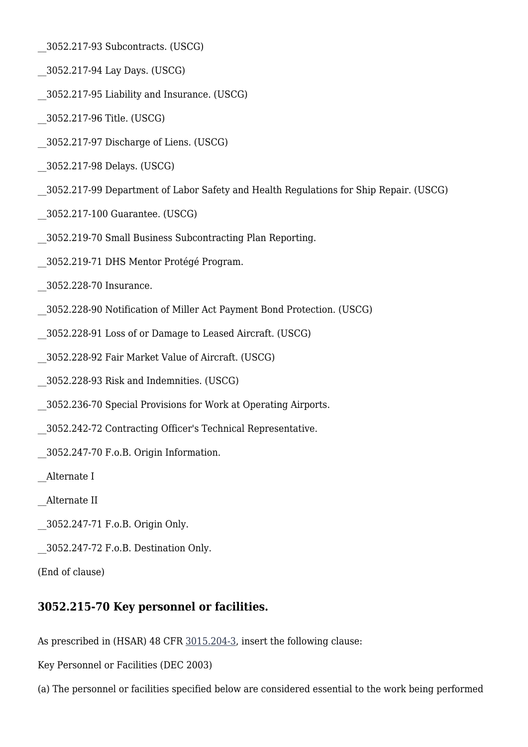\_\_3052.217-93 Subcontracts. (USCG)

- \_\_3052.217-94 Lay Days. (USCG)
- \_\_3052.217-95 Liability and Insurance. (USCG)
- \_\_3052.217-96 Title. (USCG)
- \_\_3052.217-97 Discharge of Liens. (USCG)
- \_\_3052.217-98 Delays. (USCG)
- \_\_3052.217-99 Department of Labor Safety and Health Regulations for Ship Repair. (USCG)
- \_\_3052.217-100 Guarantee. (USCG)
- \_\_3052.219-70 Small Business Subcontracting Plan Reporting.
- \_\_3052.219-71 DHS Mentor Protégé Program.
- \_\_3052.228-70 Insurance.
- \_\_3052.228-90 Notification of Miller Act Payment Bond Protection. (USCG)
- \_\_3052.228-91 Loss of or Damage to Leased Aircraft. (USCG)
- \_\_3052.228-92 Fair Market Value of Aircraft. (USCG)
- \_\_3052.228-93 Risk and Indemnities. (USCG)
- \_\_3052.236-70 Special Provisions for Work at Operating Airports.
- \_\_3052.242-72 Contracting Officer's Technical Representative.
- \_\_3052.247-70 F.o.B. Origin Information.
- \_\_Alternate I
- \_\_Alternate II
- \_\_3052.247-71 F.o.B. Origin Only.
- \_\_3052.247-72 F.o.B. Destination Only.
- (End of clause)

# **3052.215-70 Key personnel or facilities.**

As prescribed in (HSAR) 48 CFR [3015.204-3](https://origin-www.acquisition.gov/%5Brp:link:hsar-part-3015%5D#Section_3015_204_3_T48_7021016111), insert the following clause:

Key Personnel or Facilities (DEC 2003)

(a) The personnel or facilities specified below are considered essential to the work being performed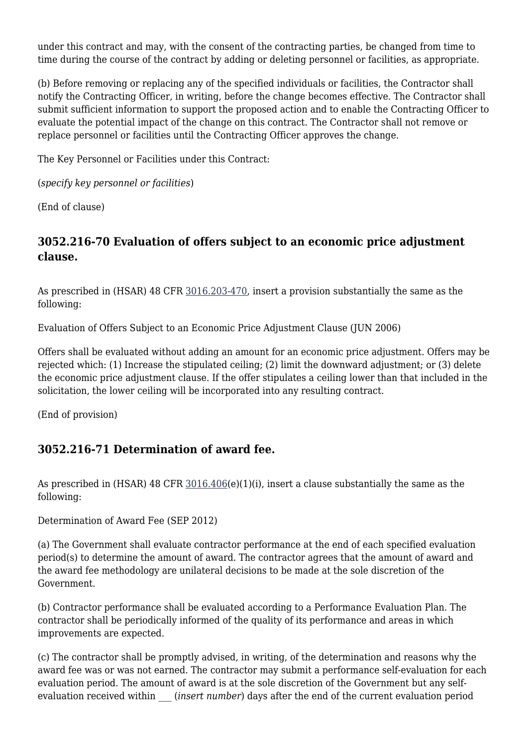under this contract and may, with the consent of the contracting parties, be changed from time to time during the course of the contract by adding or deleting personnel or facilities, as appropriate.

(b) Before removing or replacing any of the specified individuals or facilities, the Contractor shall notify the Contracting Officer, in writing, before the change becomes effective. The Contractor shall submit sufficient information to support the proposed action and to enable the Contracting Officer to evaluate the potential impact of the change on this contract. The Contractor shall not remove or replace personnel or facilities until the Contracting Officer approves the change.

The Key Personnel or Facilities under this Contract:

(*specify key personnel or facilities*)

(End of clause)

## **3052.216-70 Evaluation of offers subject to an economic price adjustment clause.**

As prescribed in (HSAR) 48 CFR [3016.203-470,](https://origin-www.acquisition.gov/%5Brp:link:hsar-part-3016%5D#Section_3016_203_470_T48_7021017213) insert a provision substantially the same as the following:

Evaluation of Offers Subject to an Economic Price Adjustment Clause (JUN 2006)

Offers shall be evaluated without adding an amount for an economic price adjustment. Offers may be rejected which: (1) Increase the stipulated ceiling; (2) limit the downward adjustment; or (3) delete the economic price adjustment clause. If the offer stipulates a ceiling lower than that included in the solicitation, the lower ceiling will be incorporated into any resulting contract.

(End of provision)

# **3052.216-71 Determination of award fee.**

As prescribed in (HSAR) 48 CFR [3016.406\(](https://origin-www.acquisition.gov/%5Brp:link:hsar-part-3016%5D#Section_3016_406_T48_7021017311)e)(1)(i), insert a clause substantially the same as the following:

Determination of Award Fee (SEP 2012)

(a) The Government shall evaluate contractor performance at the end of each specified evaluation period(s) to determine the amount of award. The contractor agrees that the amount of award and the award fee methodology are unilateral decisions to be made at the sole discretion of the Government.

(b) Contractor performance shall be evaluated according to a Performance Evaluation Plan. The contractor shall be periodically informed of the quality of its performance and areas in which improvements are expected.

(c) The contractor shall be promptly advised, in writing, of the determination and reasons why the award fee was or was not earned. The contractor may submit a performance self-evaluation for each evaluation period. The amount of award is at the sole discretion of the Government but any selfevaluation received within \_\_\_ (*insert number*) days after the end of the current evaluation period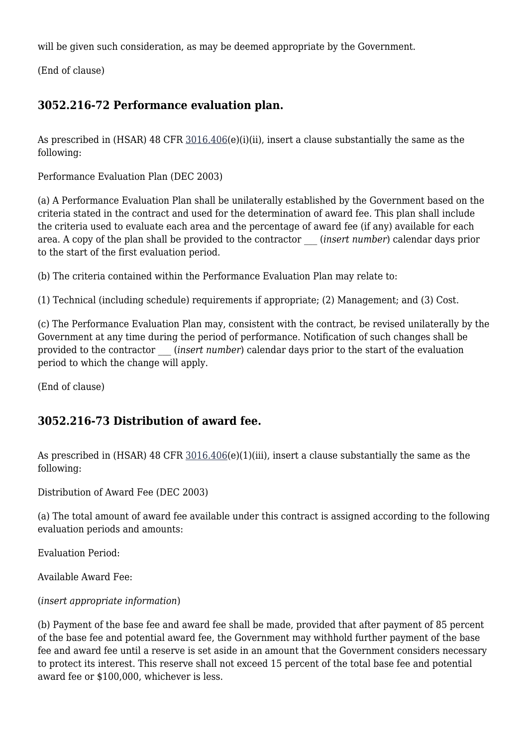will be given such consideration, as may be deemed appropriate by the Government.

(End of clause)

## **3052.216-72 Performance evaluation plan.**

As prescribed in (HSAR) 48 CFR  $3016.406(e)(i)(ii)$ , insert a clause substantially the same as the following:

Performance Evaluation Plan (DEC 2003)

(a) A Performance Evaluation Plan shall be unilaterally established by the Government based on the criteria stated in the contract and used for the determination of award fee. This plan shall include the criteria used to evaluate each area and the percentage of award fee (if any) available for each area. A copy of the plan shall be provided to the contractor \_\_\_ (*insert number*) calendar days prior to the start of the first evaluation period.

(b) The criteria contained within the Performance Evaluation Plan may relate to:

(1) Technical (including schedule) requirements if appropriate; (2) Management; and (3) Cost.

(c) The Performance Evaluation Plan may, consistent with the contract, be revised unilaterally by the Government at any time during the period of performance. Notification of such changes shall be provided to the contractor \_\_\_ (*insert number*) calendar days prior to the start of the evaluation period to which the change will apply.

(End of clause)

## **3052.216-73 Distribution of award fee.**

As prescribed in (HSAR) 48 CFR [3016.406\(](https://origin-www.acquisition.gov/%5Brp:link:hsar-part-3016%5D#Section_3016_406_T48_7021017311)e)(1)(iii), insert a clause substantially the same as the following:

Distribution of Award Fee (DEC 2003)

(a) The total amount of award fee available under this contract is assigned according to the following evaluation periods and amounts:

Evaluation Period:

Available Award Fee:

(*insert appropriate information*)

(b) Payment of the base fee and award fee shall be made, provided that after payment of 85 percent of the base fee and potential award fee, the Government may withhold further payment of the base fee and award fee until a reserve is set aside in an amount that the Government considers necessary to protect its interest. This reserve shall not exceed 15 percent of the total base fee and potential award fee or \$100,000, whichever is less.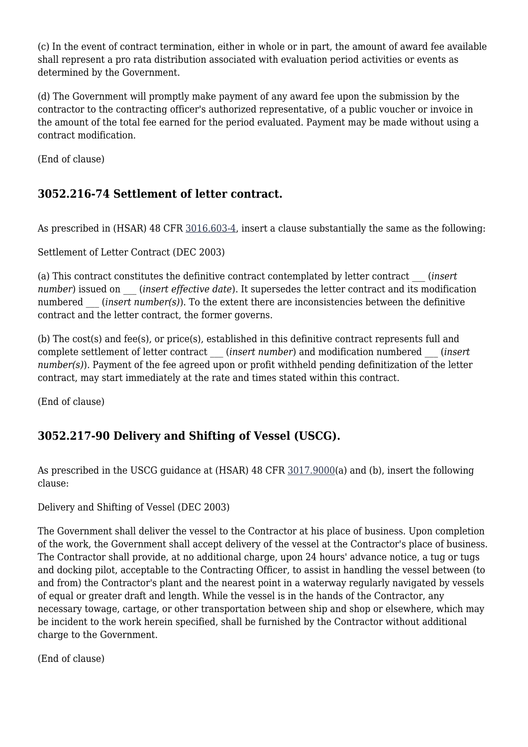(c) In the event of contract termination, either in whole or in part, the amount of award fee available shall represent a pro rata distribution associated with evaluation period activities or events as determined by the Government.

(d) The Government will promptly make payment of any award fee upon the submission by the contractor to the contracting officer's authorized representative, of a public voucher or invoice in the amount of the total fee earned for the period evaluated. Payment may be made without using a contract modification.

(End of clause)

## **3052.216-74 Settlement of letter contract.**

As prescribed in (HSAR) 48 CFR [3016.603-4](https://origin-www.acquisition.gov/%5Brp:link:hsar-part-3016%5D#Section_3016_603_4_T48_7021017512), insert a clause substantially the same as the following:

Settlement of Letter Contract (DEC 2003)

(a) This contract constitutes the definitive contract contemplated by letter contract \_\_\_ (*insert number*) issued on *(insert effective date*). It supersedes the letter contract and its modification numbered *(insert number(s)*). To the extent there are inconsistencies between the definitive contract and the letter contract, the former governs.

(b) The cost(s) and fee(s), or price(s), established in this definitive contract represents full and complete settlement of letter contract \_\_\_ (*insert number*) and modification numbered \_\_\_ (*insert number(s)*). Payment of the fee agreed upon or profit withheld pending definitization of the letter contract, may start immediately at the rate and times stated within this contract.

(End of clause)

# **3052.217-90 Delivery and Shifting of Vessel (USCG).**

As prescribed in the USCG guidance at (HSAR) 48 CFR [3017.9000\(](https://origin-www.acquisition.gov/%5Brp:link:hsar-part-3017%5D#Section_3017_9000_T48_7021018311)a) and (b), insert the following clause:

Delivery and Shifting of Vessel (DEC 2003)

The Government shall deliver the vessel to the Contractor at his place of business. Upon completion of the work, the Government shall accept delivery of the vessel at the Contractor's place of business. The Contractor shall provide, at no additional charge, upon 24 hours' advance notice, a tug or tugs and docking pilot, acceptable to the Contracting Officer, to assist in handling the vessel between (to and from) the Contractor's plant and the nearest point in a waterway regularly navigated by vessels of equal or greater draft and length. While the vessel is in the hands of the Contractor, any necessary towage, cartage, or other transportation between ship and shop or elsewhere, which may be incident to the work herein specified, shall be furnished by the Contractor without additional charge to the Government.

(End of clause)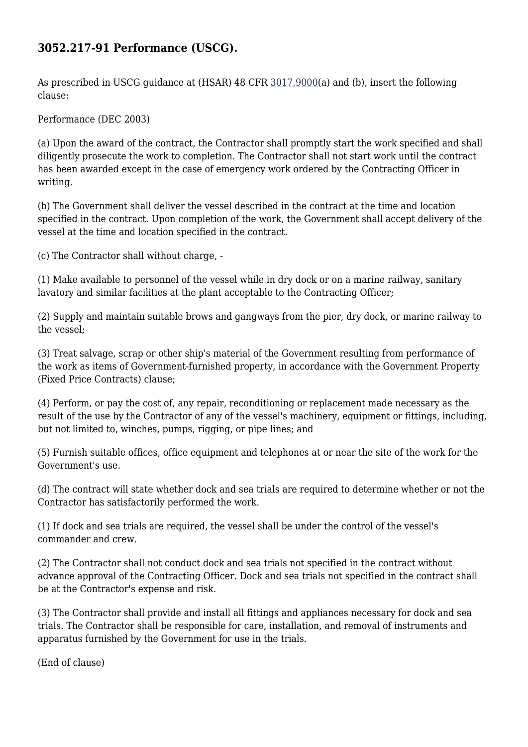## **3052.217-91 Performance (USCG).**

As prescribed in USCG guidance at (HSAR) 48 CFR [3017.9000\(](https://origin-www.acquisition.gov/%5Brp:link:hsar-part-3017%5D#Section_3017_9000_T48_7021018311)a) and (b), insert the following clause:

Performance (DEC 2003)

(a) Upon the award of the contract, the Contractor shall promptly start the work specified and shall diligently prosecute the work to completion. The Contractor shall not start work until the contract has been awarded except in the case of emergency work ordered by the Contracting Officer in writing.

(b) The Government shall deliver the vessel described in the contract at the time and location specified in the contract. Upon completion of the work, the Government shall accept delivery of the vessel at the time and location specified in the contract.

(c) The Contractor shall without charge, -

(1) Make available to personnel of the vessel while in dry dock or on a marine railway, sanitary lavatory and similar facilities at the plant acceptable to the Contracting Officer;

(2) Supply and maintain suitable brows and gangways from the pier, dry dock, or marine railway to the vessel;

(3) Treat salvage, scrap or other ship's material of the Government resulting from performance of the work as items of Government-furnished property, in accordance with the Government Property (Fixed Price Contracts) clause;

(4) Perform, or pay the cost of, any repair, reconditioning or replacement made necessary as the result of the use by the Contractor of any of the vessel's machinery, equipment or fittings, including, but not limited to, winches, pumps, rigging, or pipe lines; and

(5) Furnish suitable offices, office equipment and telephones at or near the site of the work for the Government's use.

(d) The contract will state whether dock and sea trials are required to determine whether or not the Contractor has satisfactorily performed the work.

(1) If dock and sea trials are required, the vessel shall be under the control of the vessel's commander and crew.

(2) The Contractor shall not conduct dock and sea trials not specified in the contract without advance approval of the Contracting Officer. Dock and sea trials not specified in the contract shall be at the Contractor's expense and risk.

(3) The Contractor shall provide and install all fittings and appliances necessary for dock and sea trials. The Contractor shall be responsible for care, installation, and removal of instruments and apparatus furnished by the Government for use in the trials.

(End of clause)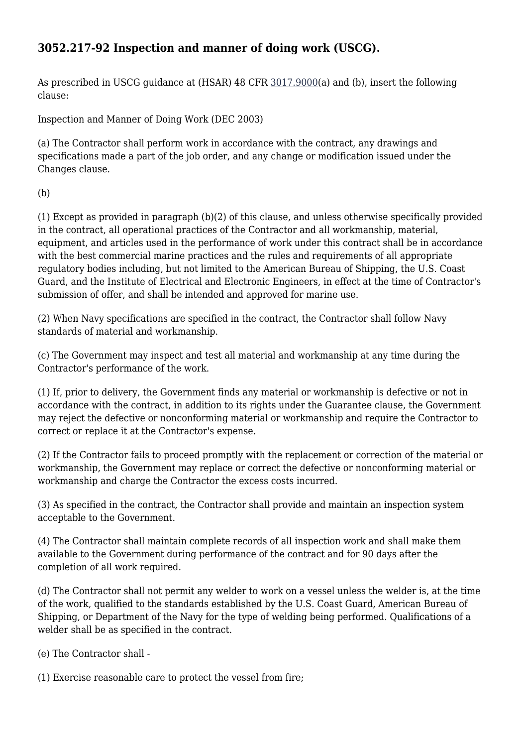# **3052.217-92 Inspection and manner of doing work (USCG).**

As prescribed in USCG guidance at (HSAR) 48 CFR [3017.9000\(](https://origin-www.acquisition.gov/%5Brp:link:hsar-part-3017%5D#Section_3017_9000_T48_7021018311)a) and (b), insert the following clause:

Inspection and Manner of Doing Work (DEC 2003)

(a) The Contractor shall perform work in accordance with the contract, any drawings and specifications made a part of the job order, and any change or modification issued under the Changes clause.

(b)

(1) Except as provided in paragraph (b)(2) of this clause, and unless otherwise specifically provided in the contract, all operational practices of the Contractor and all workmanship, material, equipment, and articles used in the performance of work under this contract shall be in accordance with the best commercial marine practices and the rules and requirements of all appropriate regulatory bodies including, but not limited to the American Bureau of Shipping, the U.S. Coast Guard, and the Institute of Electrical and Electronic Engineers, in effect at the time of Contractor's submission of offer, and shall be intended and approved for marine use.

(2) When Navy specifications are specified in the contract, the Contractor shall follow Navy standards of material and workmanship.

(c) The Government may inspect and test all material and workmanship at any time during the Contractor's performance of the work.

(1) If, prior to delivery, the Government finds any material or workmanship is defective or not in accordance with the contract, in addition to its rights under the Guarantee clause, the Government may reject the defective or nonconforming material or workmanship and require the Contractor to correct or replace it at the Contractor's expense.

(2) If the Contractor fails to proceed promptly with the replacement or correction of the material or workmanship, the Government may replace or correct the defective or nonconforming material or workmanship and charge the Contractor the excess costs incurred.

(3) As specified in the contract, the Contractor shall provide and maintain an inspection system acceptable to the Government.

(4) The Contractor shall maintain complete records of all inspection work and shall make them available to the Government during performance of the contract and for 90 days after the completion of all work required.

(d) The Contractor shall not permit any welder to work on a vessel unless the welder is, at the time of the work, qualified to the standards established by the U.S. Coast Guard, American Bureau of Shipping, or Department of the Navy for the type of welding being performed. Qualifications of a welder shall be as specified in the contract.

(e) The Contractor shall -

(1) Exercise reasonable care to protect the vessel from fire;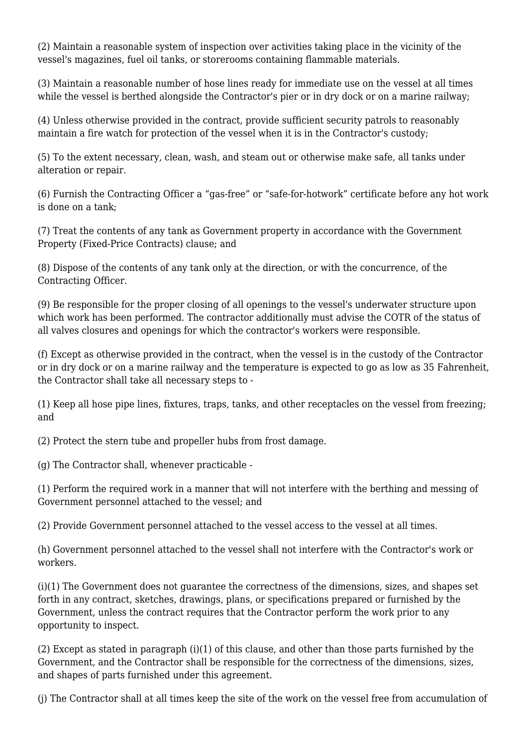(2) Maintain a reasonable system of inspection over activities taking place in the vicinity of the vessel's magazines, fuel oil tanks, or storerooms containing flammable materials.

(3) Maintain a reasonable number of hose lines ready for immediate use on the vessel at all times while the vessel is berthed alongside the Contractor's pier or in dry dock or on a marine railway;

(4) Unless otherwise provided in the contract, provide sufficient security patrols to reasonably maintain a fire watch for protection of the vessel when it is in the Contractor's custody;

(5) To the extent necessary, clean, wash, and steam out or otherwise make safe, all tanks under alteration or repair.

(6) Furnish the Contracting Officer a "gas-free" or "safe-for-hotwork" certificate before any hot work is done on a tank;

(7) Treat the contents of any tank as Government property in accordance with the Government Property (Fixed-Price Contracts) clause; and

(8) Dispose of the contents of any tank only at the direction, or with the concurrence, of the Contracting Officer.

(9) Be responsible for the proper closing of all openings to the vessel's underwater structure upon which work has been performed. The contractor additionally must advise the COTR of the status of all valves closures and openings for which the contractor's workers were responsible.

(f) Except as otherwise provided in the contract, when the vessel is in the custody of the Contractor or in dry dock or on a marine railway and the temperature is expected to go as low as 35 Fahrenheit, the Contractor shall take all necessary steps to -

(1) Keep all hose pipe lines, fixtures, traps, tanks, and other receptacles on the vessel from freezing; and

(2) Protect the stern tube and propeller hubs from frost damage.

(g) The Contractor shall, whenever practicable -

(1) Perform the required work in a manner that will not interfere with the berthing and messing of Government personnel attached to the vessel; and

(2) Provide Government personnel attached to the vessel access to the vessel at all times.

(h) Government personnel attached to the vessel shall not interfere with the Contractor's work or workers.

(i)(1) The Government does not guarantee the correctness of the dimensions, sizes, and shapes set forth in any contract, sketches, drawings, plans, or specifications prepared or furnished by the Government, unless the contract requires that the Contractor perform the work prior to any opportunity to inspect.

(2) Except as stated in paragraph (i)(1) of this clause, and other than those parts furnished by the Government, and the Contractor shall be responsible for the correctness of the dimensions, sizes, and shapes of parts furnished under this agreement.

(j) The Contractor shall at all times keep the site of the work on the vessel free from accumulation of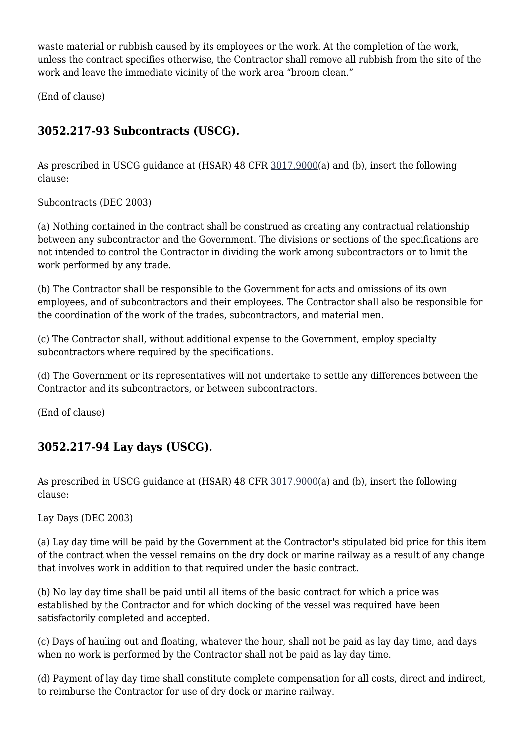waste material or rubbish caused by its employees or the work. At the completion of the work, unless the contract specifies otherwise, the Contractor shall remove all rubbish from the site of the work and leave the immediate vicinity of the work area "broom clean."

(End of clause)

# **3052.217-93 Subcontracts (USCG).**

As prescribed in USCG guidance at (HSAR) 48 CFR [3017.9000\(](https://origin-www.acquisition.gov/%5Brp:link:hsar-part-3017%5D#Section_3017_9000_T48_7021018311)a) and (b), insert the following clause:

Subcontracts (DEC 2003)

(a) Nothing contained in the contract shall be construed as creating any contractual relationship between any subcontractor and the Government. The divisions or sections of the specifications are not intended to control the Contractor in dividing the work among subcontractors or to limit the work performed by any trade.

(b) The Contractor shall be responsible to the Government for acts and omissions of its own employees, and of subcontractors and their employees. The Contractor shall also be responsible for the coordination of the work of the trades, subcontractors, and material men.

(c) The Contractor shall, without additional expense to the Government, employ specialty subcontractors where required by the specifications.

(d) The Government or its representatives will not undertake to settle any differences between the Contractor and its subcontractors, or between subcontractors.

(End of clause)

# **3052.217-94 Lay days (USCG).**

As prescribed in USCG guidance at (HSAR) 48 CFR [3017.9000\(](https://origin-www.acquisition.gov/%5Brp:link:hsar-part-3017%5D#Section_3017_9000_T48_7021018311)a) and (b), insert the following clause:

Lay Days (DEC 2003)

(a) Lay day time will be paid by the Government at the Contractor's stipulated bid price for this item of the contract when the vessel remains on the dry dock or marine railway as a result of any change that involves work in addition to that required under the basic contract.

(b) No lay day time shall be paid until all items of the basic contract for which a price was established by the Contractor and for which docking of the vessel was required have been satisfactorily completed and accepted.

(c) Days of hauling out and floating, whatever the hour, shall not be paid as lay day time, and days when no work is performed by the Contractor shall not be paid as lay day time.

(d) Payment of lay day time shall constitute complete compensation for all costs, direct and indirect, to reimburse the Contractor for use of dry dock or marine railway.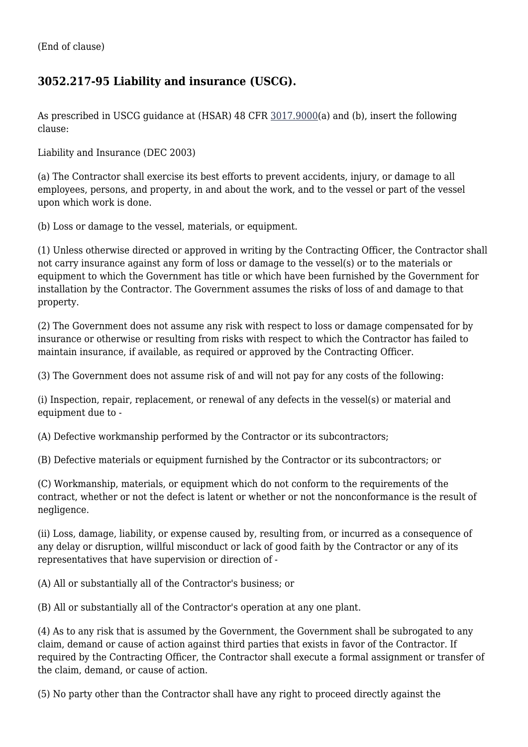# **3052.217-95 Liability and insurance (USCG).**

As prescribed in USCG guidance at (HSAR) 48 CFR [3017.9000\(](https://origin-www.acquisition.gov/%5Brp:link:hsar-part-3017%5D#Section_3017_9000_T48_7021018311)a) and (b), insert the following clause:

Liability and Insurance (DEC 2003)

(a) The Contractor shall exercise its best efforts to prevent accidents, injury, or damage to all employees, persons, and property, in and about the work, and to the vessel or part of the vessel upon which work is done.

(b) Loss or damage to the vessel, materials, or equipment.

(1) Unless otherwise directed or approved in writing by the Contracting Officer, the Contractor shall not carry insurance against any form of loss or damage to the vessel(s) or to the materials or equipment to which the Government has title or which have been furnished by the Government for installation by the Contractor. The Government assumes the risks of loss of and damage to that property.

(2) The Government does not assume any risk with respect to loss or damage compensated for by insurance or otherwise or resulting from risks with respect to which the Contractor has failed to maintain insurance, if available, as required or approved by the Contracting Officer.

(3) The Government does not assume risk of and will not pay for any costs of the following:

(i) Inspection, repair, replacement, or renewal of any defects in the vessel(s) or material and equipment due to -

(A) Defective workmanship performed by the Contractor or its subcontractors;

(B) Defective materials or equipment furnished by the Contractor or its subcontractors; or

(C) Workmanship, materials, or equipment which do not conform to the requirements of the contract, whether or not the defect is latent or whether or not the nonconformance is the result of negligence.

(ii) Loss, damage, liability, or expense caused by, resulting from, or incurred as a consequence of any delay or disruption, willful misconduct or lack of good faith by the Contractor or any of its representatives that have supervision or direction of -

(A) All or substantially all of the Contractor's business; or

(B) All or substantially all of the Contractor's operation at any one plant.

(4) As to any risk that is assumed by the Government, the Government shall be subrogated to any claim, demand or cause of action against third parties that exists in favor of the Contractor. If required by the Contracting Officer, the Contractor shall execute a formal assignment or transfer of the claim, demand, or cause of action.

(5) No party other than the Contractor shall have any right to proceed directly against the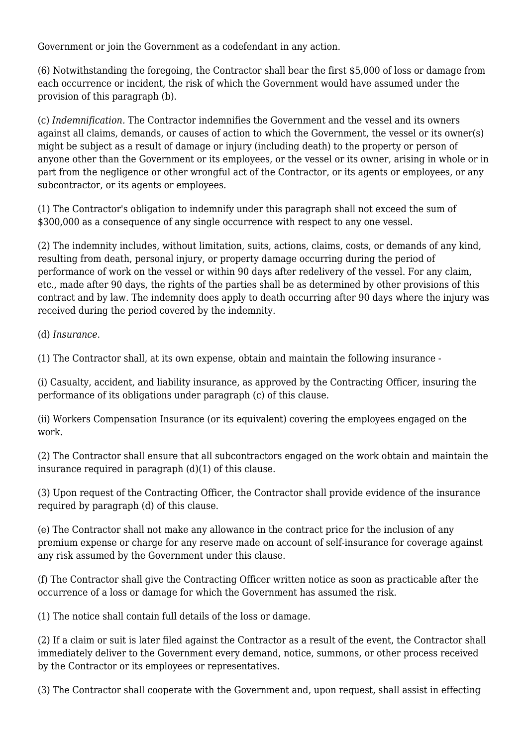Government or join the Government as a codefendant in any action.

(6) Notwithstanding the foregoing, the Contractor shall bear the first \$5,000 of loss or damage from each occurrence or incident, the risk of which the Government would have assumed under the provision of this paragraph (b).

(c) *Indemnification.* The Contractor indemnifies the Government and the vessel and its owners against all claims, demands, or causes of action to which the Government, the vessel or its owner(s) might be subject as a result of damage or injury (including death) to the property or person of anyone other than the Government or its employees, or the vessel or its owner, arising in whole or in part from the negligence or other wrongful act of the Contractor, or its agents or employees, or any subcontractor, or its agents or employees.

(1) The Contractor's obligation to indemnify under this paragraph shall not exceed the sum of \$300,000 as a consequence of any single occurrence with respect to any one vessel.

(2) The indemnity includes, without limitation, suits, actions, claims, costs, or demands of any kind, resulting from death, personal injury, or property damage occurring during the period of performance of work on the vessel or within 90 days after redelivery of the vessel. For any claim, etc., made after 90 days, the rights of the parties shall be as determined by other provisions of this contract and by law. The indemnity does apply to death occurring after 90 days where the injury was received during the period covered by the indemnity.

(d) *Insurance.*

(1) The Contractor shall, at its own expense, obtain and maintain the following insurance -

(i) Casualty, accident, and liability insurance, as approved by the Contracting Officer, insuring the performance of its obligations under paragraph (c) of this clause.

(ii) Workers Compensation Insurance (or its equivalent) covering the employees engaged on the work.

(2) The Contractor shall ensure that all subcontractors engaged on the work obtain and maintain the insurance required in paragraph (d)(1) of this clause.

(3) Upon request of the Contracting Officer, the Contractor shall provide evidence of the insurance required by paragraph (d) of this clause.

(e) The Contractor shall not make any allowance in the contract price for the inclusion of any premium expense or charge for any reserve made on account of self-insurance for coverage against any risk assumed by the Government under this clause.

(f) The Contractor shall give the Contracting Officer written notice as soon as practicable after the occurrence of a loss or damage for which the Government has assumed the risk.

(1) The notice shall contain full details of the loss or damage.

(2) If a claim or suit is later filed against the Contractor as a result of the event, the Contractor shall immediately deliver to the Government every demand, notice, summons, or other process received by the Contractor or its employees or representatives.

(3) The Contractor shall cooperate with the Government and, upon request, shall assist in effecting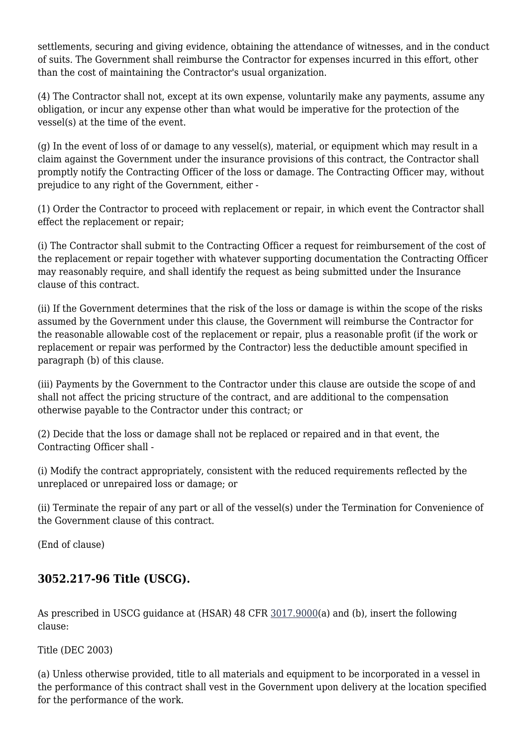settlements, securing and giving evidence, obtaining the attendance of witnesses, and in the conduct of suits. The Government shall reimburse the Contractor for expenses incurred in this effort, other than the cost of maintaining the Contractor's usual organization.

(4) The Contractor shall not, except at its own expense, voluntarily make any payments, assume any obligation, or incur any expense other than what would be imperative for the protection of the vessel(s) at the time of the event.

(g) In the event of loss of or damage to any vessel(s), material, or equipment which may result in a claim against the Government under the insurance provisions of this contract, the Contractor shall promptly notify the Contracting Officer of the loss or damage. The Contracting Officer may, without prejudice to any right of the Government, either -

(1) Order the Contractor to proceed with replacement or repair, in which event the Contractor shall effect the replacement or repair;

(i) The Contractor shall submit to the Contracting Officer a request for reimbursement of the cost of the replacement or repair together with whatever supporting documentation the Contracting Officer may reasonably require, and shall identify the request as being submitted under the Insurance clause of this contract.

(ii) If the Government determines that the risk of the loss or damage is within the scope of the risks assumed by the Government under this clause, the Government will reimburse the Contractor for the reasonable allowable cost of the replacement or repair, plus a reasonable profit (if the work or replacement or repair was performed by the Contractor) less the deductible amount specified in paragraph (b) of this clause.

(iii) Payments by the Government to the Contractor under this clause are outside the scope of and shall not affect the pricing structure of the contract, and are additional to the compensation otherwise payable to the Contractor under this contract; or

(2) Decide that the loss or damage shall not be replaced or repaired and in that event, the Contracting Officer shall -

(i) Modify the contract appropriately, consistent with the reduced requirements reflected by the unreplaced or unrepaired loss or damage; or

(ii) Terminate the repair of any part or all of the vessel(s) under the Termination for Convenience of the Government clause of this contract.

(End of clause)

# **3052.217-96 Title (USCG).**

As prescribed in USCG guidance at (HSAR) 48 CFR [3017.9000\(](https://origin-www.acquisition.gov/%5Brp:link:hsar-part-3017%5D#Section_3017_9000_T48_7021018311)a) and (b), insert the following clause:

Title (DEC 2003)

(a) Unless otherwise provided, title to all materials and equipment to be incorporated in a vessel in the performance of this contract shall vest in the Government upon delivery at the location specified for the performance of the work.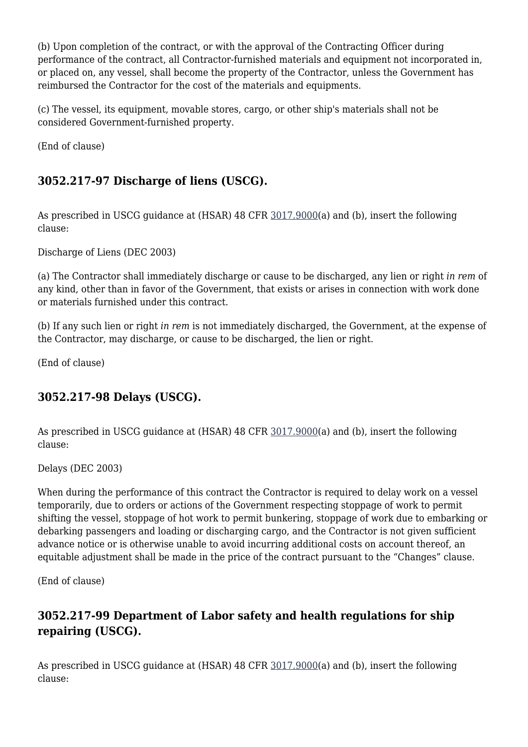(b) Upon completion of the contract, or with the approval of the Contracting Officer during performance of the contract, all Contractor-furnished materials and equipment not incorporated in, or placed on, any vessel, shall become the property of the Contractor, unless the Government has reimbursed the Contractor for the cost of the materials and equipments.

(c) The vessel, its equipment, movable stores, cargo, or other ship's materials shall not be considered Government-furnished property.

(End of clause)

# **3052.217-97 Discharge of liens (USCG).**

As prescribed in USCG guidance at (HSAR) 48 CFR [3017.9000\(](https://origin-www.acquisition.gov/%5Brp:link:hsar-part-3017%5D#Section_3017_9000_T48_7021018311)a) and (b), insert the following clause:

Discharge of Liens (DEC 2003)

(a) The Contractor shall immediately discharge or cause to be discharged, any lien or right *in rem* of any kind, other than in favor of the Government, that exists or arises in connection with work done or materials furnished under this contract.

(b) If any such lien or right *in rem* is not immediately discharged, the Government, at the expense of the Contractor, may discharge, or cause to be discharged, the lien or right.

(End of clause)

# **3052.217-98 Delays (USCG).**

As prescribed in USCG guidance at (HSAR) 48 CFR [3017.9000\(](https://origin-www.acquisition.gov/%5Brp:link:hsar-part-3017%5D#Section_3017_9000_T48_7021018311)a) and (b), insert the following clause:

Delays (DEC 2003)

When during the performance of this contract the Contractor is required to delay work on a vessel temporarily, due to orders or actions of the Government respecting stoppage of work to permit shifting the vessel, stoppage of hot work to permit bunkering, stoppage of work due to embarking or debarking passengers and loading or discharging cargo, and the Contractor is not given sufficient advance notice or is otherwise unable to avoid incurring additional costs on account thereof, an equitable adjustment shall be made in the price of the contract pursuant to the "Changes" clause.

(End of clause)

## **3052.217-99 Department of Labor safety and health regulations for ship repairing (USCG).**

As prescribed in USCG guidance at (HSAR) 48 CFR [3017.9000\(](https://origin-www.acquisition.gov/%5Brp:link:hsar-part-3017%5D#Section_3017_9000_T48_7021018311)a) and (b), insert the following clause: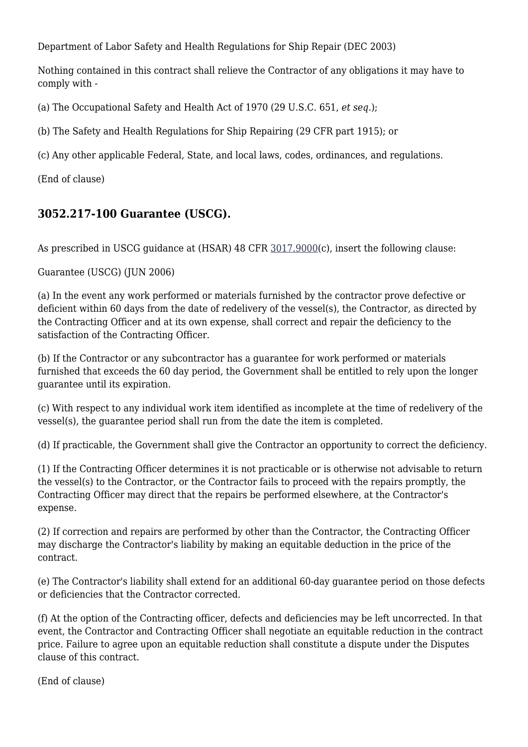Department of Labor Safety and Health Regulations for Ship Repair (DEC 2003)

Nothing contained in this contract shall relieve the Contractor of any obligations it may have to comply with -

(a) The Occupational Safety and Health Act of 1970 (29 U.S.C. 651, *et seq.*);

(b) The Safety and Health Regulations for Ship Repairing (29 CFR part 1915); or

(c) Any other applicable Federal, State, and local laws, codes, ordinances, and regulations.

(End of clause)

## **3052.217-100 Guarantee (USCG).**

As prescribed in USCG quidance at (HSAR) 48 CFR [3017.9000\(](https://origin-www.acquisition.gov/%5Brp:link:hsar-part-3017%5D#Section_3017_9000_T48_7021018311)c), insert the following clause:

Guarantee (USCG) (JUN 2006)

(a) In the event any work performed or materials furnished by the contractor prove defective or deficient within 60 days from the date of redelivery of the vessel(s), the Contractor, as directed by the Contracting Officer and at its own expense, shall correct and repair the deficiency to the satisfaction of the Contracting Officer.

(b) If the Contractor or any subcontractor has a guarantee for work performed or materials furnished that exceeds the 60 day period, the Government shall be entitled to rely upon the longer guarantee until its expiration.

(c) With respect to any individual work item identified as incomplete at the time of redelivery of the vessel(s), the guarantee period shall run from the date the item is completed.

(d) If practicable, the Government shall give the Contractor an opportunity to correct the deficiency.

(1) If the Contracting Officer determines it is not practicable or is otherwise not advisable to return the vessel(s) to the Contractor, or the Contractor fails to proceed with the repairs promptly, the Contracting Officer may direct that the repairs be performed elsewhere, at the Contractor's expense.

(2) If correction and repairs are performed by other than the Contractor, the Contracting Officer may discharge the Contractor's liability by making an equitable deduction in the price of the contract.

(e) The Contractor's liability shall extend for an additional 60-day guarantee period on those defects or deficiencies that the Contractor corrected.

(f) At the option of the Contracting officer, defects and deficiencies may be left uncorrected. In that event, the Contractor and Contracting Officer shall negotiate an equitable reduction in the contract price. Failure to agree upon an equitable reduction shall constitute a dispute under the Disputes clause of this contract.

(End of clause)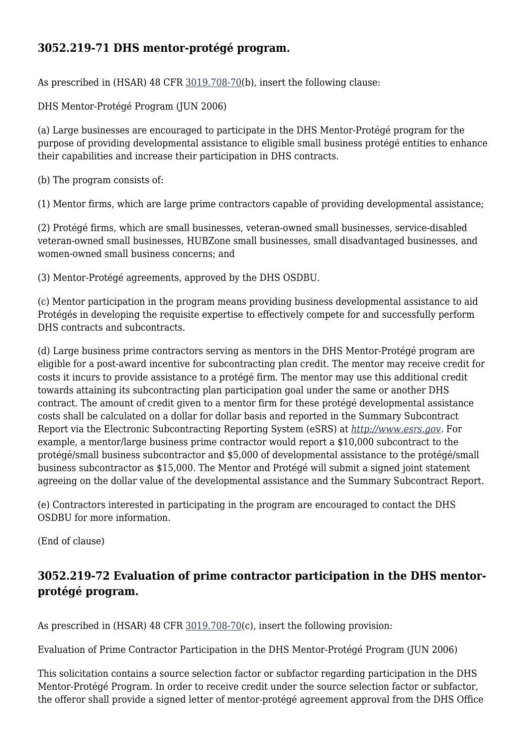# **3052.219-71 DHS mentor-protégé program.**

As prescribed in (HSAR) 48 CFR [3019.708-70](https://origin-www.acquisition.gov/%5Brp:link:hsar-part-3019%5D#Section_3019_708_70_T48_7021120214)(b), insert the following clause:

DHS Mentor-Protégé Program (JUN 2006)

(a) Large businesses are encouraged to participate in the DHS Mentor-Protégé program for the purpose of providing developmental assistance to eligible small business protégé entities to enhance their capabilities and increase their participation in DHS contracts.

(b) The program consists of:

(1) Mentor firms, which are large prime contractors capable of providing developmental assistance;

(2) Protégé firms, which are small businesses, veteran-owned small businesses, service-disabled veteran-owned small businesses, HUBZone small businesses, small disadvantaged businesses, and women-owned small business concerns; and

(3) Mentor-Protégé agreements, approved by the DHS OSDBU.

(c) Mentor participation in the program means providing business developmental assistance to aid Protégés in developing the requisite expertise to effectively compete for and successfully perform DHS contracts and subcontracts.

(d) Large business prime contractors serving as mentors in the DHS Mentor-Protégé program are eligible for a post-award incentive for subcontracting plan credit. The mentor may receive credit for costs it incurs to provide assistance to a protégé firm. The mentor may use this additional credit towards attaining its subcontracting plan participation goal under the same or another DHS contract. The amount of credit given to a mentor firm for these protégé developmental assistance costs shall be calculated on a dollar for dollar basis and reported in the Summary Subcontract Report via the Electronic Subcontracting Reporting System (eSRS) at *<http://www.esrs.gov>.* For example, a mentor/large business prime contractor would report a \$10,000 subcontract to the protégé/small business subcontractor and \$5,000 of developmental assistance to the protégé/small business subcontractor as \$15,000. The Mentor and Protégé will submit a signed joint statement agreeing on the dollar value of the developmental assistance and the Summary Subcontract Report.

(e) Contractors interested in participating in the program are encouraged to contact the DHS OSDBU for more information.

(End of clause)

# **3052.219-72 Evaluation of prime contractor participation in the DHS mentorprotégé program.**

As prescribed in (HSAR) 48 CFR [3019.708-70](https://origin-www.acquisition.gov/%5Brp:link:hsar-part-3019%5D#Section_3019_708_70_T48_7021120214)(c), insert the following provision:

Evaluation of Prime Contractor Participation in the DHS Mentor-Protégé Program (JUN 2006)

This solicitation contains a source selection factor or subfactor regarding participation in the DHS Mentor-Protégé Program. In order to receive credit under the source selection factor or subfactor, the offeror shall provide a signed letter of mentor-protégé agreement approval from the DHS Office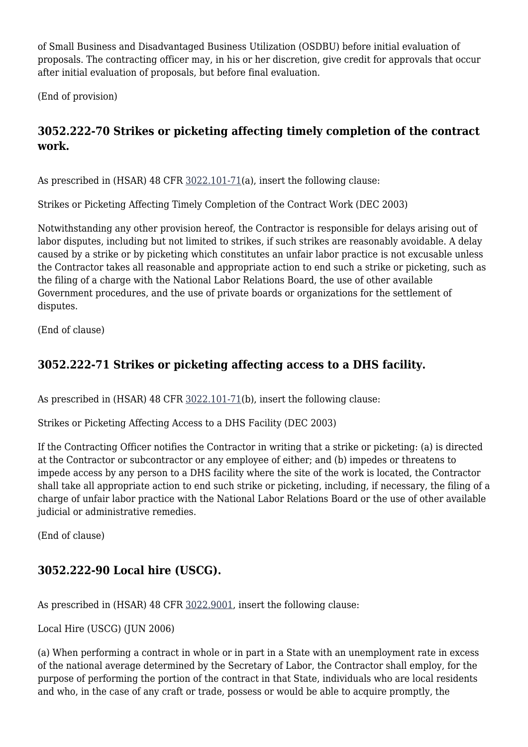of Small Business and Disadvantaged Business Utilization (OSDBU) before initial evaluation of proposals. The contracting officer may, in his or her discretion, give credit for approvals that occur after initial evaluation of proposals, but before final evaluation.

(End of provision)

# **3052.222-70 Strikes or picketing affecting timely completion of the contract work.**

As prescribed in (HSAR) 48 CFR [3022.101-71](https://origin-www.acquisition.gov/%5Brp:link:hsar-part-3022%5D#Section_3022_101_71_T48_7021122113)(a), insert the following clause:

Strikes or Picketing Affecting Timely Completion of the Contract Work (DEC 2003)

Notwithstanding any other provision hereof, the Contractor is responsible for delays arising out of labor disputes, including but not limited to strikes, if such strikes are reasonably avoidable. A delay caused by a strike or by picketing which constitutes an unfair labor practice is not excusable unless the Contractor takes all reasonable and appropriate action to end such a strike or picketing, such as the filing of a charge with the National Labor Relations Board, the use of other available Government procedures, and the use of private boards or organizations for the settlement of disputes.

(End of clause)

# **3052.222-71 Strikes or picketing affecting access to a DHS facility.**

As prescribed in (HSAR) 48 CFR [3022.101-71](https://origin-www.acquisition.gov/%5Brp:link:hsar-part-3022%5D#Section_3022_101_71_T48_7021122113)(b), insert the following clause:

Strikes or Picketing Affecting Access to a DHS Facility (DEC 2003)

If the Contracting Officer notifies the Contractor in writing that a strike or picketing: (a) is directed at the Contractor or subcontractor or any employee of either; and (b) impedes or threatens to impede access by any person to a DHS facility where the site of the work is located, the Contractor shall take all appropriate action to end such strike or picketing, including, if necessary, the filing of a charge of unfair labor practice with the National Labor Relations Board or the use of other available judicial or administrative remedies.

(End of clause)

# **3052.222-90 Local hire (USCG).**

As prescribed in (HSAR) 48 CFR [3022.9001,](https://origin-www.acquisition.gov/%5Brp:link:hsar-part-3022%5D#Section_3022_9001_T48_7021122312) insert the following clause:

Local Hire (USCG) (JUN 2006)

(a) When performing a contract in whole or in part in a State with an unemployment rate in excess of the national average determined by the Secretary of Labor, the Contractor shall employ, for the purpose of performing the portion of the contract in that State, individuals who are local residents and who, in the case of any craft or trade, possess or would be able to acquire promptly, the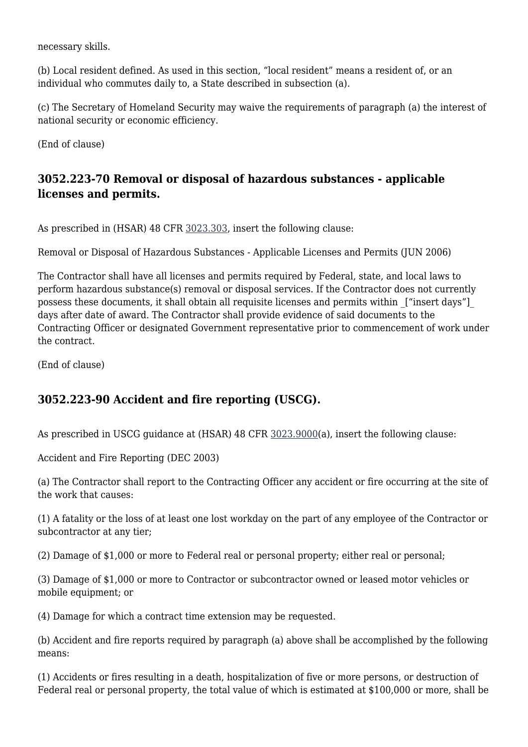necessary skills.

(b) Local resident defined. As used in this section, "local resident" means a resident of, or an individual who commutes daily to, a State described in subsection (a).

(c) The Secretary of Homeland Security may waive the requirements of paragraph (a) the interest of national security or economic efficiency.

(End of clause)

## **3052.223-70 Removal or disposal of hazardous substances - applicable licenses and permits.**

As prescribed in (HSAR) 48 CFR [3023.303,](https://origin-www.acquisition.gov/%5Brp:link:hsar-part-3023%5D#Section_3023_303_T48_7021123111) insert the following clause:

Removal or Disposal of Hazardous Substances - Applicable Licenses and Permits (JUN 2006)

The Contractor shall have all licenses and permits required by Federal, state, and local laws to perform hazardous substance(s) removal or disposal services. If the Contractor does not currently possess these documents, it shall obtain all requisite licenses and permits within ["insert days"] days after date of award. The Contractor shall provide evidence of said documents to the Contracting Officer or designated Government representative prior to commencement of work under the contract.

(End of clause)

## **3052.223-90 Accident and fire reporting (USCG).**

As prescribed in USCG guidance at (HSAR) 48 CFR [3023.9000\(](https://origin-www.acquisition.gov/%5Brp:link:hsar-part-3023%5D#Section_3023_9000_T48_7021123411)a), insert the following clause:

Accident and Fire Reporting (DEC 2003)

(a) The Contractor shall report to the Contracting Officer any accident or fire occurring at the site of the work that causes:

(1) A fatality or the loss of at least one lost workday on the part of any employee of the Contractor or subcontractor at any tier;

(2) Damage of \$1,000 or more to Federal real or personal property; either real or personal;

(3) Damage of \$1,000 or more to Contractor or subcontractor owned or leased motor vehicles or mobile equipment; or

(4) Damage for which a contract time extension may be requested.

(b) Accident and fire reports required by paragraph (a) above shall be accomplished by the following means:

(1) Accidents or fires resulting in a death, hospitalization of five or more persons, or destruction of Federal real or personal property, the total value of which is estimated at \$100,000 or more, shall be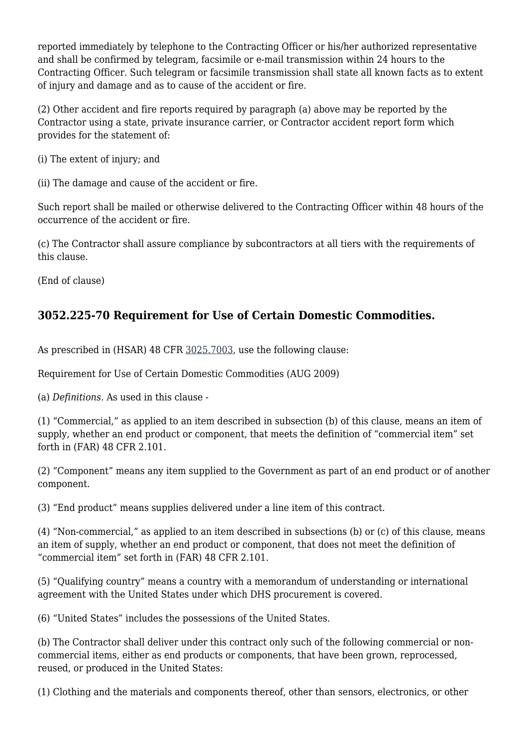reported immediately by telephone to the Contracting Officer or his/her authorized representative and shall be confirmed by telegram, facsimile or e-mail transmission within 24 hours to the Contracting Officer. Such telegram or facsimile transmission shall state all known facts as to extent of injury and damage and as to cause of the accident or fire.

(2) Other accident and fire reports required by paragraph (a) above may be reported by the Contractor using a state, private insurance carrier, or Contractor accident report form which provides for the statement of:

(i) The extent of injury; and

(ii) The damage and cause of the accident or fire.

Such report shall be mailed or otherwise delivered to the Contracting Officer within 48 hours of the occurrence of the accident or fire.

(c) The Contractor shall assure compliance by subcontractors at all tiers with the requirements of this clause.

(End of clause)

# **3052.225-70 Requirement for Use of Certain Domestic Commodities.**

As prescribed in (HSAR) 48 CFR [3025.7003,](https://origin-www.acquisition.gov/%5Brp:link:hsar-part-3025%5D#Section_3025_7003_T48_7021125117) use the following clause:

Requirement for Use of Certain Domestic Commodities (AUG 2009)

(a) *Definitions.* As used in this clause -

(1) "Commercial," as applied to an item described in subsection (b) of this clause, means an item of supply, whether an end product or component, that meets the definition of "commercial item" set forth in (FAR) 48 CFR 2.101.

(2) "Component" means any item supplied to the Government as part of an end product or of another component.

(3) "End product" means supplies delivered under a line item of this contract.

(4) "Non-commercial," as applied to an item described in subsections (b) or (c) of this clause, means an item of supply, whether an end product or component, that does not meet the definition of "commercial item" set forth in (FAR) 48 CFR 2.101.

(5) "Qualifying country" means a country with a memorandum of understanding or international agreement with the United States under which DHS procurement is covered.

(6) "United States" includes the possessions of the United States.

(b) The Contractor shall deliver under this contract only such of the following commercial or noncommercial items, either as end products or components, that have been grown, reprocessed, reused, or produced in the United States:

(1) Clothing and the materials and components thereof, other than sensors, electronics, or other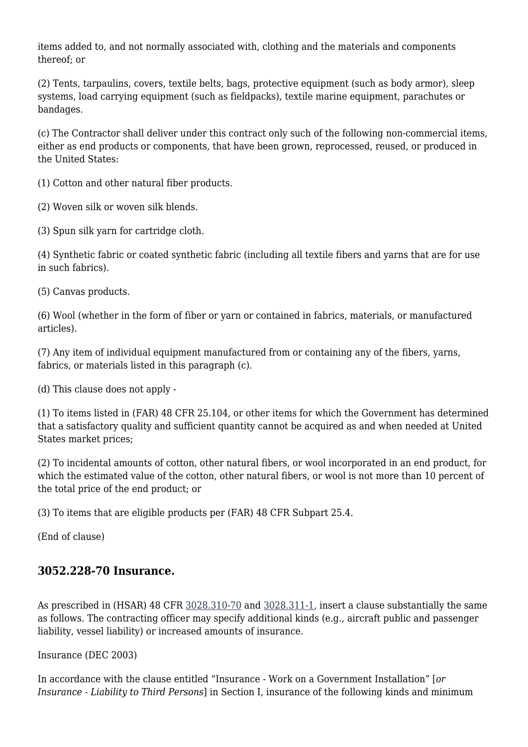items added to, and not normally associated with, clothing and the materials and components thereof; or

(2) Tents, tarpaulins, covers, textile belts, bags, protective equipment (such as body armor), sleep systems, load carrying equipment (such as fieldpacks), textile marine equipment, parachutes or bandages.

(c) The Contractor shall deliver under this contract only such of the following non-commercial items, either as end products or components, that have been grown, reprocessed, reused, or produced in the United States:

(1) Cotton and other natural fiber products.

(2) Woven silk or woven silk blends.

(3) Spun silk yarn for cartridge cloth.

(4) Synthetic fabric or coated synthetic fabric (including all textile fibers and yarns that are for use in such fabrics).

(5) Canvas products.

(6) Wool (whether in the form of fiber or yarn or contained in fabrics, materials, or manufactured articles).

(7) Any item of individual equipment manufactured from or containing any of the fibers, yarns, fabrics, or materials listed in this paragraph (c).

(d) This clause does not apply -

(1) To items listed in (FAR) 48 CFR 25.104, or other items for which the Government has determined that a satisfactory quality and sufficient quantity cannot be acquired as and when needed at United States market prices;

(2) To incidental amounts of cotton, other natural fibers, or wool incorporated in an end product, for which the estimated value of the cotton, other natural fibers, or wool is not more than 10 percent of the total price of the end product; or

(3) To items that are eligible products per (FAR) 48 CFR Subpart 25.4.

(End of clause)

## **3052.228-70 Insurance.**

As prescribed in (HSAR) 48 CFR [3028.310-70](https://origin-www.acquisition.gov/%5Brp:link:hsar-part-3028%5D#Section_3028_310_70_T48_7021128216) and [3028.311-1](https://origin-www.acquisition.gov/%5Brp:link:hsar-part-3028%5D#Section_3028_311_1_T48_7021128218), insert a clause substantially the same as follows. The contracting officer may specify additional kinds (e.g., aircraft public and passenger liability, vessel liability) or increased amounts of insurance.

Insurance (DEC 2003)

In accordance with the clause entitled "Insurance - Work on a Government Installation" [*or Insurance - Liability to Third Persons*] in Section I, insurance of the following kinds and minimum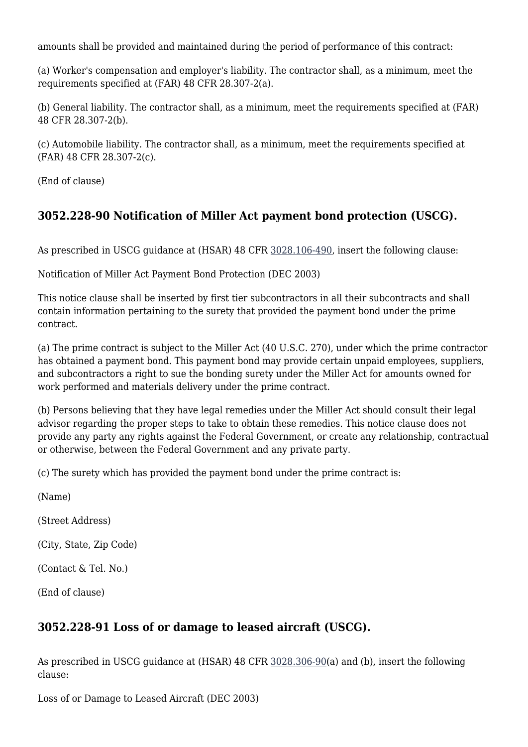amounts shall be provided and maintained during the period of performance of this contract:

(a) Worker's compensation and employer's liability. The contractor shall, as a minimum, meet the requirements specified at (FAR) 48 CFR 28.307-2(a).

(b) General liability. The contractor shall, as a minimum, meet the requirements specified at (FAR) 48 CFR 28.307-2(b).

(c) Automobile liability. The contractor shall, as a minimum, meet the requirements specified at (FAR) 48 CFR 28.307-2(c).

(End of clause)

# **3052.228-90 Notification of Miller Act payment bond protection (USCG).**

As prescribed in USCG guidance at (HSAR) 48 CFR [3028.106-490,](https://origin-www.acquisition.gov/%5Brp:link:hsar-part-3028%5D#Section_3028_106_490_T48_7021128114) insert the following clause:

Notification of Miller Act Payment Bond Protection (DEC 2003)

This notice clause shall be inserted by first tier subcontractors in all their subcontracts and shall contain information pertaining to the surety that provided the payment bond under the prime contract.

(a) The prime contract is subject to the Miller Act (40 U.S.C. 270), under which the prime contractor has obtained a payment bond. This payment bond may provide certain unpaid employees, suppliers, and subcontractors a right to sue the bonding surety under the Miller Act for amounts owned for work performed and materials delivery under the prime contract.

(b) Persons believing that they have legal remedies under the Miller Act should consult their legal advisor regarding the proper steps to take to obtain these remedies. This notice clause does not provide any party any rights against the Federal Government, or create any relationship, contractual or otherwise, between the Federal Government and any private party.

(c) The surety which has provided the payment bond under the prime contract is:

(Name)

(Street Address)

(City, State, Zip Code)

(Contact & Tel. No.)

(End of clause)

## **3052.228-91 Loss of or damage to leased aircraft (USCG).**

As prescribed in USCG guidance at (HSAR) 48 CFR [3028.306-90](https://origin-www.acquisition.gov/%5Brp:link:hsar-part-3028%5D#Section_3028_306_90_T48_7021128212)(a) and (b), insert the following clause:

Loss of or Damage to Leased Aircraft (DEC 2003)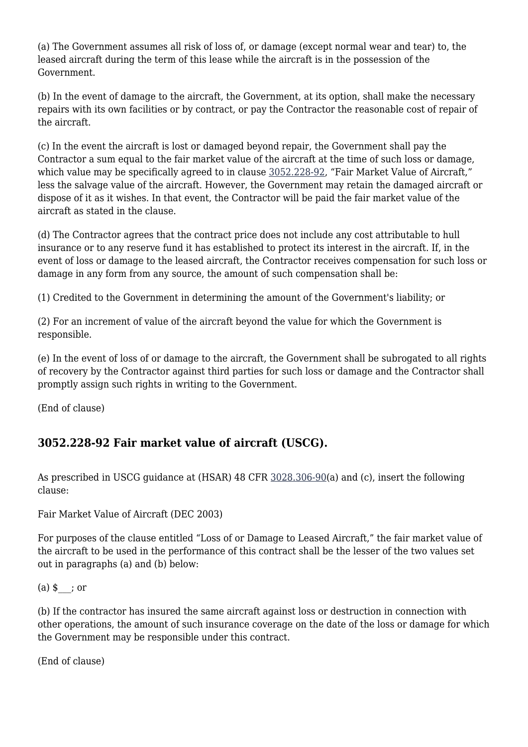(a) The Government assumes all risk of loss of, or damage (except normal wear and tear) to, the leased aircraft during the term of this lease while the aircraft is in the possession of the Government.

(b) In the event of damage to the aircraft, the Government, at its option, shall make the necessary repairs with its own facilities or by contract, or pay the Contractor the reasonable cost of repair of the aircraft.

(c) In the event the aircraft is lost or damaged beyond repair, the Government shall pay the Contractor a sum equal to the fair market value of the aircraft at the time of such loss or damage, which value may be specifically agreed to in clause  $3052.228-92$ , "Fair Market Value of Aircraft," less the salvage value of the aircraft. However, the Government may retain the damaged aircraft or dispose of it as it wishes. In that event, the Contractor will be paid the fair market value of the aircraft as stated in the clause.

(d) The Contractor agrees that the contract price does not include any cost attributable to hull insurance or to any reserve fund it has established to protect its interest in the aircraft. If, in the event of loss or damage to the leased aircraft, the Contractor receives compensation for such loss or damage in any form from any source, the amount of such compensation shall be:

(1) Credited to the Government in determining the amount of the Government's liability; or

(2) For an increment of value of the aircraft beyond the value for which the Government is responsible.

(e) In the event of loss of or damage to the aircraft, the Government shall be subrogated to all rights of recovery by the Contractor against third parties for such loss or damage and the Contractor shall promptly assign such rights in writing to the Government.

(End of clause)

# **3052.228-92 Fair market value of aircraft (USCG).**

As prescribed in USCG guidance at (HSAR) 48 CFR [3028.306-90](https://origin-www.acquisition.gov/%5Brp:link:hsar-part-3028%5D#Section_3028_306_90_T48_7021128212)(a) and (c), insert the following clause:

Fair Market Value of Aircraft (DEC 2003)

For purposes of the clause entitled "Loss of or Damage to Leased Aircraft," the fair market value of the aircraft to be used in the performance of this contract shall be the lesser of the two values set out in paragraphs (a) and (b) below:

```
(a) \frac{1}{2} ; or
```
(b) If the contractor has insured the same aircraft against loss or destruction in connection with other operations, the amount of such insurance coverage on the date of the loss or damage for which the Government may be responsible under this contract.

(End of clause)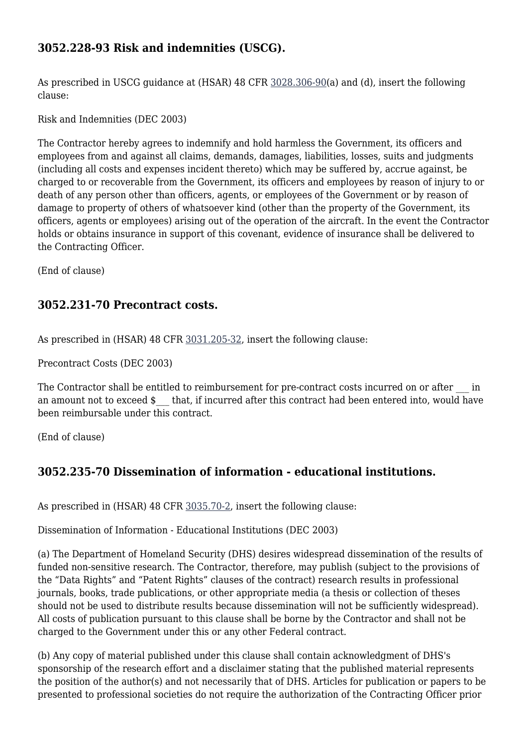## **3052.228-93 Risk and indemnities (USCG).**

As prescribed in USCG guidance at (HSAR) 48 CFR [3028.306-90](https://origin-www.acquisition.gov/%5Brp:link:hsar-part-3028%5D#Section_3028_306_90_T48_7021128212)(a) and (d), insert the following clause:

Risk and Indemnities (DEC 2003)

The Contractor hereby agrees to indemnify and hold harmless the Government, its officers and employees from and against all claims, demands, damages, liabilities, losses, suits and judgments (including all costs and expenses incident thereto) which may be suffered by, accrue against, be charged to or recoverable from the Government, its officers and employees by reason of injury to or death of any person other than officers, agents, or employees of the Government or by reason of damage to property of others of whatsoever kind (other than the property of the Government, its officers, agents or employees) arising out of the operation of the aircraft. In the event the Contractor holds or obtains insurance in support of this covenant, evidence of insurance shall be delivered to the Contracting Officer.

(End of clause)

## **3052.231-70 Precontract costs.**

As prescribed in (HSAR) 48 CFR [3031.205-32](https://origin-www.acquisition.gov/%5Brp:link:hsar-part-3031%5D#Section_3031_205_32_T48_7021231112), insert the following clause:

Precontract Costs (DEC 2003)

The Contractor shall be entitled to reimbursement for pre-contract costs incurred on or after \_\_\_ in an amount not to exceed  $\frac{1}{2}$  that, if incurred after this contract had been entered into, would have been reimbursable under this contract.

(End of clause)

## **3052.235-70 Dissemination of information - educational institutions.**

As prescribed in (HSAR) 48 CFR [3035.70-2,](https://origin-www.acquisition.gov/%5Brp:link:hsar-part-3035%5D#Section_3035_70_2_T48_7021335212) insert the following clause:

Dissemination of Information - Educational Institutions (DEC 2003)

(a) The Department of Homeland Security (DHS) desires widespread dissemination of the results of funded non-sensitive research. The Contractor, therefore, may publish (subject to the provisions of the "Data Rights" and "Patent Rights" clauses of the contract) research results in professional journals, books, trade publications, or other appropriate media (a thesis or collection of theses should not be used to distribute results because dissemination will not be sufficiently widespread). All costs of publication pursuant to this clause shall be borne by the Contractor and shall not be charged to the Government under this or any other Federal contract.

(b) Any copy of material published under this clause shall contain acknowledgment of DHS's sponsorship of the research effort and a disclaimer stating that the published material represents the position of the author(s) and not necessarily that of DHS. Articles for publication or papers to be presented to professional societies do not require the authorization of the Contracting Officer prior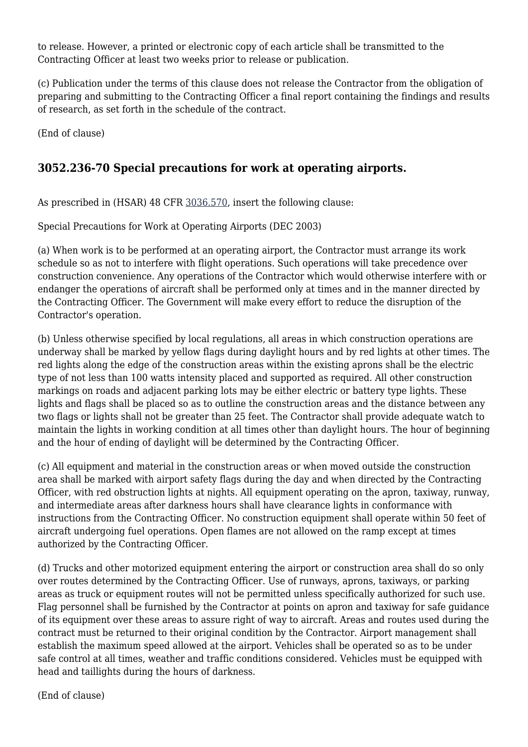to release. However, a printed or electronic copy of each article shall be transmitted to the Contracting Officer at least two weeks prior to release or publication.

(c) Publication under the terms of this clause does not release the Contractor from the obligation of preparing and submitting to the Contracting Officer a final report containing the findings and results of research, as set forth in the schedule of the contract.

(End of clause)

# **3052.236-70 Special precautions for work at operating airports.**

As prescribed in (HSAR) 48 CFR [3036.570,](https://origin-www.acquisition.gov/%5Brp:link:hsar-part-3036%5D#Section_3036_570_T48_7021336311) insert the following clause:

Special Precautions for Work at Operating Airports (DEC 2003)

(a) When work is to be performed at an operating airport, the Contractor must arrange its work schedule so as not to interfere with flight operations. Such operations will take precedence over construction convenience. Any operations of the Contractor which would otherwise interfere with or endanger the operations of aircraft shall be performed only at times and in the manner directed by the Contracting Officer. The Government will make every effort to reduce the disruption of the Contractor's operation.

(b) Unless otherwise specified by local regulations, all areas in which construction operations are underway shall be marked by yellow flags during daylight hours and by red lights at other times. The red lights along the edge of the construction areas within the existing aprons shall be the electric type of not less than 100 watts intensity placed and supported as required. All other construction markings on roads and adjacent parking lots may be either electric or battery type lights. These lights and flags shall be placed so as to outline the construction areas and the distance between any two flags or lights shall not be greater than 25 feet. The Contractor shall provide adequate watch to maintain the lights in working condition at all times other than daylight hours. The hour of beginning and the hour of ending of daylight will be determined by the Contracting Officer.

(c) All equipment and material in the construction areas or when moved outside the construction area shall be marked with airport safety flags during the day and when directed by the Contracting Officer, with red obstruction lights at nights. All equipment operating on the apron, taxiway, runway, and intermediate areas after darkness hours shall have clearance lights in conformance with instructions from the Contracting Officer. No construction equipment shall operate within 50 feet of aircraft undergoing fuel operations. Open flames are not allowed on the ramp except at times authorized by the Contracting Officer.

(d) Trucks and other motorized equipment entering the airport or construction area shall do so only over routes determined by the Contracting Officer. Use of runways, aprons, taxiways, or parking areas as truck or equipment routes will not be permitted unless specifically authorized for such use. Flag personnel shall be furnished by the Contractor at points on apron and taxiway for safe guidance of its equipment over these areas to assure right of way to aircraft. Areas and routes used during the contract must be returned to their original condition by the Contractor. Airport management shall establish the maximum speed allowed at the airport. Vehicles shall be operated so as to be under safe control at all times, weather and traffic conditions considered. Vehicles must be equipped with head and taillights during the hours of darkness.

(End of clause)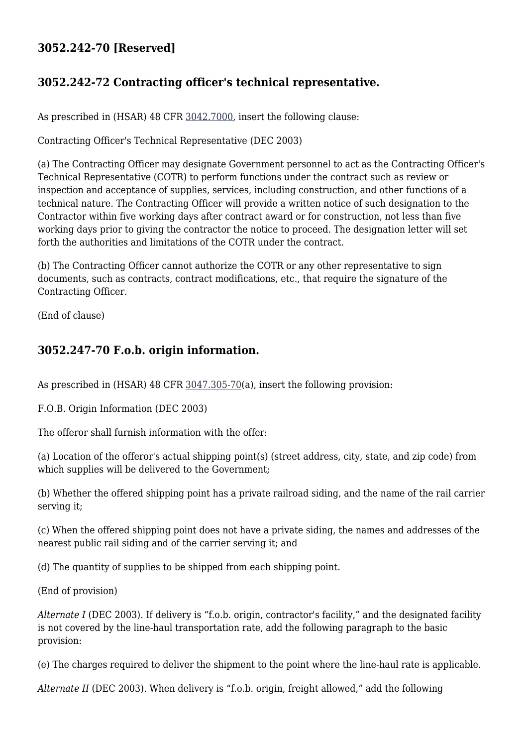## **3052.242-70 [Reserved]**

## **3052.242-72 Contracting officer's technical representative.**

As prescribed in (HSAR) 48 CFR [3042.7000,](https://origin-www.acquisition.gov/%5Brp:link:hsar-part-3042%5D#Section_3042_7000_T48_7021442211) insert the following clause:

Contracting Officer's Technical Representative (DEC 2003)

(a) The Contracting Officer may designate Government personnel to act as the Contracting Officer's Technical Representative (COTR) to perform functions under the contract such as review or inspection and acceptance of supplies, services, including construction, and other functions of a technical nature. The Contracting Officer will provide a written notice of such designation to the Contractor within five working days after contract award or for construction, not less than five working days prior to giving the contractor the notice to proceed. The designation letter will set forth the authorities and limitations of the COTR under the contract.

(b) The Contracting Officer cannot authorize the COTR or any other representative to sign documents, such as contracts, contract modifications, etc., that require the signature of the Contracting Officer.

(End of clause)

## **3052.247-70 F.o.b. origin information.**

As prescribed in (HSAR) 48 CFR [3047.305-70](https://origin-www.acquisition.gov/%5Brp:link:hsar-part-3047%5D#Section_3047_305_70_T48_7021446112)(a), insert the following provision:

F.O.B. Origin Information (DEC 2003)

The offeror shall furnish information with the offer:

(a) Location of the offeror's actual shipping point(s) (street address, city, state, and zip code) from which supplies will be delivered to the Government;

(b) Whether the offered shipping point has a private railroad siding, and the name of the rail carrier serving it;

(c) When the offered shipping point does not have a private siding, the names and addresses of the nearest public rail siding and of the carrier serving it; and

(d) The quantity of supplies to be shipped from each shipping point.

(End of provision)

*Alternate I* (DEC 2003). If delivery is "f.o.b. origin, contractor's facility," and the designated facility is not covered by the line-haul transportation rate, add the following paragraph to the basic provision:

(e) The charges required to deliver the shipment to the point where the line-haul rate is applicable.

*Alternate II* (DEC 2003). When delivery is "f.o.b. origin, freight allowed," add the following